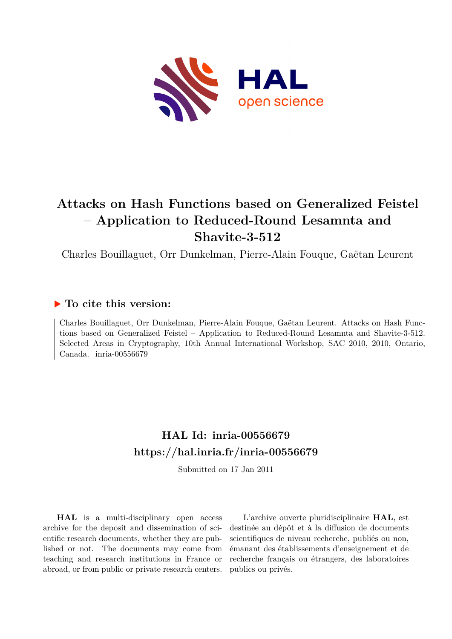

# **Attacks on Hash Functions based on Generalized Feistel – Application to Reduced-Round Lesamnta and Shavite-3-512**

Charles Bouillaguet, Orr Dunkelman, Pierre-Alain Fouque, Gaëtan Leurent

## **To cite this version:**

Charles Bouillaguet, Orr Dunkelman, Pierre-Alain Fouque, Gaëtan Leurent. Attacks on Hash Functions based on Generalized Feistel – Application to Reduced-Round Lesamnta and Shavite-3-512. Selected Areas in Cryptography, 10th Annual International Workshop, SAC 2010, 2010, Ontario, Canada. inria-00556679

# **HAL Id: inria-00556679 <https://hal.inria.fr/inria-00556679>**

Submitted on 17 Jan 2011

**HAL** is a multi-disciplinary open access archive for the deposit and dissemination of scientific research documents, whether they are published or not. The documents may come from teaching and research institutions in France or abroad, or from public or private research centers.

L'archive ouverte pluridisciplinaire **HAL**, est destinée au dépôt et à la diffusion de documents scientifiques de niveau recherche, publiés ou non, émanant des établissements d'enseignement et de recherche français ou étrangers, des laboratoires publics ou privés.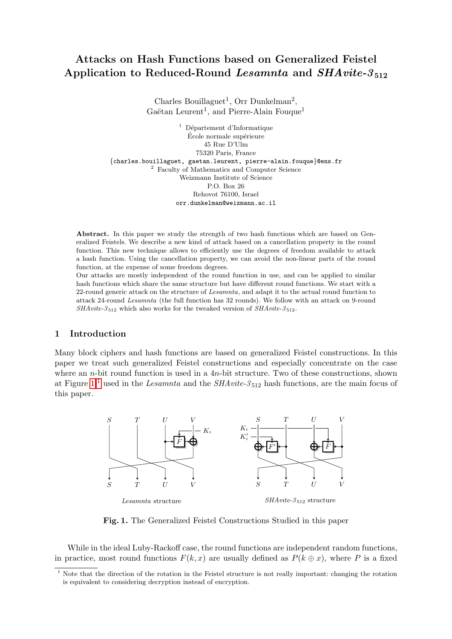## Attacks on Hash Functions based on Generalized Feistel Application to Reduced-Round Lesamnta and  $SHArite-3_{512}$

Charles Bouillaguet<sup>1</sup>, Orr Dunkelman<sup>2</sup>, Gaëtan Leurent<sup>1</sup>, and Pierre-Alain Fouque<sup>1</sup>

 $1$  Département d'Informatique École normale supérieure 45 Rue D'Ulm 75320 Paris, France {charles.bouillaguet, gaetan.leurent, pierre-alain.fouque}@ens.fr <sup>2</sup> Faculty of Mathematics and Computer Science Weizmann Institute of Science P.O. Box 26 Rehovot 76100, Israel orr.dunkelman@weizmann.ac.il

Abstract. In this paper we study the strength of two hash functions which are based on Generalized Feistels. We describe a new kind of attack based on a cancellation property in the round function. This new technique allows to efficiently use the degrees of freedom available to attack a hash function. Using the cancellation property, we can avoid the non-linear parts of the round function, at the expense of some freedom degrees.

Our attacks are mostly independent of the round function in use, and can be applied to similar hash functions which share the same structure but have different round functions. We start with a 22-round generic attack on the structure of Lesamnta, and adapt it to the actual round function to attack 24-round Lesamnta (the full function has 32 rounds). We follow with an attack on 9-round  $SHAvite-3_{512}$  which also works for the tweaked version of  $SHAvite-3_{512}$ .

#### 1 Introduction

Many block ciphers and hash functions are based on generalized Feistel constructions. In this paper we treat such generalized Feistel constructions and especially concentrate on the case where an *n*-bit round function is used in a  $4n$ -bit structure. Two of these constructions, shown at Figure [1,](#page-1-0)<sup>[1](#page-1-1)</sup> used in the *Lesamnta* and the *SHAvite-3*<sup>512</sup> hash functions, are the main focus of this paper.



<span id="page-1-0"></span>Fig. 1. The Generalized Feistel Constructions Studied in this paper

While in the ideal Luby-Rackoff case, the round functions are independent random functions, in practice, most round functions  $F(k, x)$  are usually defined as  $P(k \oplus x)$ , where P is a fixed

<span id="page-1-1"></span><sup>&</sup>lt;sup>1</sup> Note that the direction of the rotation in the Feistel structure is not really important: changing the rotation is equivalent to considering decryption instead of encryption.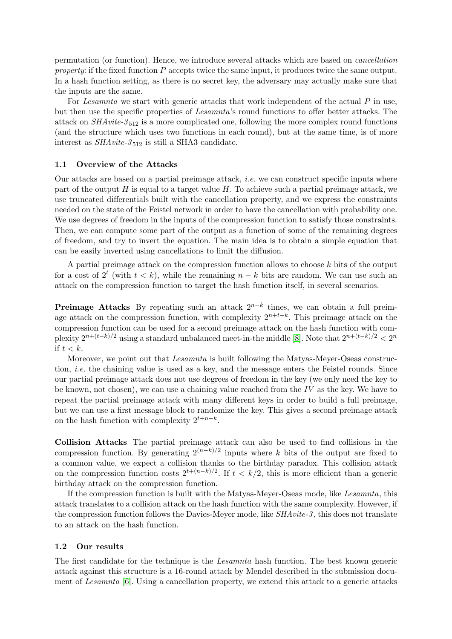permutation (or function). Hence, we introduce several attacks which are based on cancellation property: if the fixed function P accepts twice the same input, it produces twice the same output. In a hash function setting, as there is no secret key, the adversary may actually make sure that the inputs are the same.

For Lesamnta we start with generic attacks that work independent of the actual P in use, but then use the specific properties of Lesamnta's round functions to offer better attacks. The attack on  $SHArite-3_{512}$  is a more complicated one, following the more complex round functions (and the structure which uses two functions in each round), but at the same time, is of more interest as  $SHAvite-3_{512}$  is still a SHA3 candidate.

#### 1.1 Overview of the Attacks

Our attacks are based on a partial preimage attack, *i.e.* we can construct specific inputs where part of the output H is equal to a target value  $\overline{H}$ . To achieve such a partial preimage attack, we use truncated differentials built with the cancellation property, and we express the constraints needed on the state of the Feistel network in order to have the cancellation with probability one. We use degrees of freedom in the inputs of the compression function to satisfy those constraints. Then, we can compute some part of the output as a function of some of the remaining degrees of freedom, and try to invert the equation. The main idea is to obtain a simple equation that can be easily inverted using cancellations to limit the diffusion.

A partial preimage attack on the compression function allows to choose k bits of the output for a cost of  $2^t$  (with  $t < k$ ), while the remaining  $n - k$  bits are random. We can use such an attack on the compression function to target the hash function itself, in several scenarios.

**Preimage Attacks** By repeating such an attack  $2^{n-k}$  times, we can obtain a full preimage attack on the compression function, with complexity  $2^{n+t-k}$ . This preimage attack on the compression function can be used for a second preimage attack on the hash function with complexity  $2^{n+(t-k)/2}$  using a standard unbalanced meet-in-the middle [\[8\]](#page-17-0). Note that  $2^{n+(t-k)/2} < 2^n$ if  $t < k$ .

Moreover, we point out that *Lesamnta* is built following the Matyas-Meyer-Oseas construction, i.e. the chaining value is used as a key, and the message enters the Feistel rounds. Since our partial preimage attack does not use degrees of freedom in the key (we only need the key to be known, not chosen), we can use a chaining value reached from the  $IV$  as the key. We have to repeat the partial preimage attack with many different keys in order to build a full preimage, but we can use a first message block to randomize the key. This gives a second preimage attack on the hash function with complexity  $2^{t+n-k}$ .

Collision Attacks The partial preimage attack can also be used to find collisions in the compression function. By generating  $2^{(n-k)/2}$  inputs where k bits of the output are fixed to a common value, we expect a collision thanks to the birthday paradox. This collision attack on the compression function costs  $2^{t+(n-k)/2}$ . If  $t < k/2$ , this is more efficient than a generic birthday attack on the compression function.

If the compression function is built with the Matyas-Meyer-Oseas mode, like Lesamnta, this attack translates to a collision attack on the hash function with the same complexity. However, if the compression function follows the Davies-Meyer mode, like  $SHArite-3$ , this does not translate to an attack on the hash function.

#### 1.2 Our results

The first candidate for the technique is the *Lesamnta* hash function. The best known generic attack against this structure is a 16-round attack by Mendel described in the submission document of Lesamnta [\[6\]](#page-17-1). Using a cancellation property, we extend this attack to a generic attacks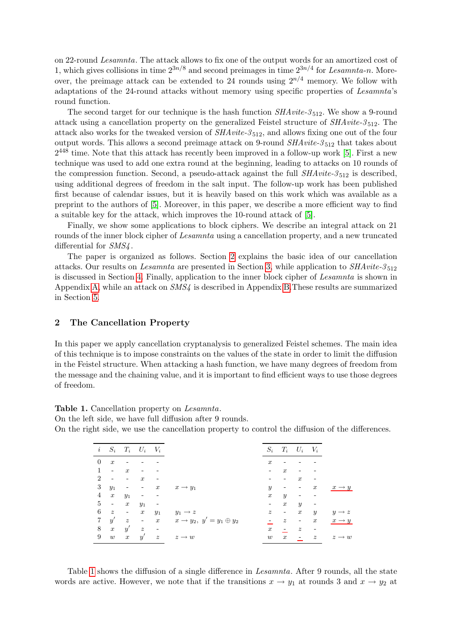on 22-round Lesamnta. The attack allows to fix one of the output words for an amortized cost of 1, which gives collisions in time  $2^{3n/8}$  and second preimages in time  $2^{3n/4}$  for Lesamnta-n. Moreover, the preimage attack can be extended to 24 rounds using  $2^{n/4}$  memory. We follow with adaptations of the 24-round attacks without memory using specific properties of Lesamnta's round function.

The second target for our technique is the hash function  $SHArite-3_{512}$ . We show a 9-round attack using a cancellation property on the generalized Feistel structure of  $SHAvite-3_{512}$ . The attack also works for the tweaked version of  $SHAvite-3_{512}$ , and allows fixing one out of the four output words. This allows a second preimage attack on 9-round  $SHArite-3_{512}$  that takes about  $2^{448}$  time. Note that this attack has recently been improved in a follow-up work [\[5\]](#page-17-2). First a new technique was used to add one extra round at the beginning, leading to attacks on 10 rounds of the compression function. Second, a pseudo-attack against the full  $SHAvite-3_{512}$  is described, using additional degrees of freedom in the salt input. The follow-up work has been published first because of calendar issues, but it is heavily based on this work which was available as a preprint to the authors of [\[5\]](#page-17-2). Moreover, in this paper, we describe a more efficient way to find a suitable key for the attack, which improves the 10-round attack of [\[5\]](#page-17-2).

Finally, we show some applications to block ciphers. We describe an integral attack on 21 rounds of the inner block cipher of Lesamnta using a cancellation property, and a new truncated differential for  $SMS4$ .

The paper is organized as follows. Section [2](#page-3-0) explains the basic idea of our cancellation attacks. Our results on Lesamnta are presented in Section [3,](#page-5-0) while application to  $SHArite-3_{512}$ is discussed in Section [4.](#page-11-0) Finally, application to the inner block cipher of Lesamnta is shown in Appendix [A,](#page-18-0) while an attack on SMS4 is described in Appendix [B.](#page-20-0)These results are summarized in Section [5.](#page-16-0)

#### <span id="page-3-0"></span>2 The Cancellation Property

In this paper we apply cancellation cryptanalysis to generalized Feistel schemes. The main idea of this technique is to impose constraints on the values of the state in order to limit the diffusion in the Feistel structure. When attacking a hash function, we have many degrees of freedom from the message and the chaining value, and it is important to find efficient ways to use those degrees of freedom.

<span id="page-3-1"></span>Table 1. Cancellation property on *Lesamnta*.

On the left side, we have full diffusion after 9 rounds.

On the right side, we use the cancellation property to control the diffusion of the differences.

| $\it i$        | $S_i$                    |                          | $T_i$ $U_i$ $V_i$ |                          |                                          | $S_i$            | $T_i$                    | $U_i$ $V_i$              |                  |                   |
|----------------|--------------------------|--------------------------|-------------------|--------------------------|------------------------------------------|------------------|--------------------------|--------------------------|------------------|-------------------|
| $\theta$       | $\boldsymbol{x}$         |                          |                   |                          |                                          | $\boldsymbol{x}$ |                          |                          |                  |                   |
| 1              | $\overline{\phantom{a}}$ | $\boldsymbol{x}$         |                   |                          |                                          |                  | $\boldsymbol{x}$         |                          |                  |                   |
| $\overline{2}$ |                          | $\qquad \qquad -$        | $\boldsymbol{x}$  |                          |                                          |                  | -                        | $\boldsymbol{x}$         |                  |                   |
| 3              | $y_1$                    | $\overline{\phantom{a}}$ | $\sim$            | $\boldsymbol{x}$         | $x \rightarrow y_1$                      | $\mathcal{Y}$    | -                        | $\overline{\phantom{a}}$ | $\boldsymbol{x}$ | $x \rightarrow y$ |
| 4              | $\boldsymbol{x}$         | $y_1$                    | -                 |                          |                                          | $\boldsymbol{x}$ | $\boldsymbol{y}$         | $\overline{\phantom{a}}$ |                  |                   |
| 5              | $\sim$                   | $\boldsymbol{x}$         | $y_1$             | $\overline{\phantom{a}}$ |                                          | ۰                | $\boldsymbol{x}$         | $\boldsymbol{y}$         |                  |                   |
| 6              | $\boldsymbol{z}$         | $\overline{\phantom{a}}$ | $\boldsymbol{x}$  | $y_1$                    | $y_1 \rightarrow z$                      | $\boldsymbol{z}$ | $\overline{\phantom{a}}$ | $\boldsymbol{x}$         | $\boldsymbol{y}$ | $y \rightarrow z$ |
| $\overline{7}$ | y'                       | $\boldsymbol{z}$         | $\sim$ $\sim$     | $\boldsymbol{x}$         | $x \rightarrow y_2, y' = y_1 \oplus y_2$ |                  | $\boldsymbol{z}$         | $\overline{\phantom{a}}$ | $\boldsymbol{x}$ | $x \rightarrow y$ |
| 8              | $\boldsymbol{x}$         | y'                       | $\boldsymbol{z}$  |                          |                                          | $\boldsymbol{x}$ | $\sim$                   | $\boldsymbol{z}$         |                  |                   |
| 9              | $\boldsymbol{w}$         | $\boldsymbol{x}$         | y'                | $\boldsymbol{z}$         | $z \rightarrow w$                        | w                | $\boldsymbol{x}$         | $\overline{a}$           | $\boldsymbol{z}$ | $z \rightarrow w$ |
|                |                          |                          |                   |                          |                                          |                  |                          |                          |                  |                   |

Table [1](#page-3-1) shows the diffusion of a single difference in *Lesamnta*. After 9 rounds, all the state words are active. However, we note that if the transitions  $x \to y_1$  at rounds 3 and  $x \to y_2$  at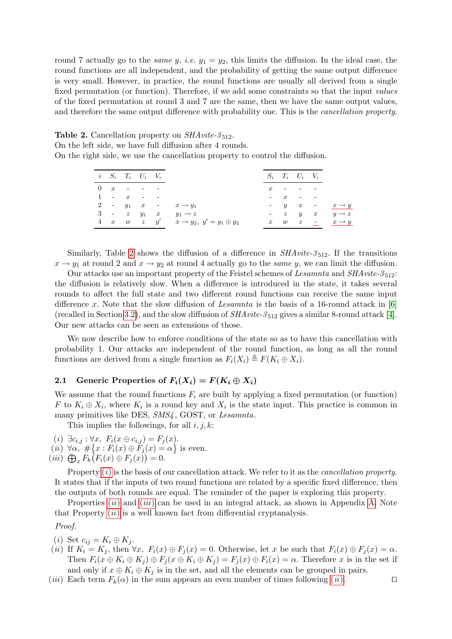round 7 actually go to the *same y, i.e.*  $y_1 = y_2$ , this limits the diffusion. In the ideal case, the round functions are all independent, and the probability of getting the same output difference is very small. However, in practice, the round functions are usually all derived from a single fixed permutation (or function). Therefore, if we add some constraints so that the input *values* of the fixed permutation at round 3 and 7 are the same, then we have the same output values, and therefore the same output difference with probability one. This is the cancellation property.

<span id="page-4-0"></span>**Table 2.** Cancellation property on  $SHArite-3_{512}$ .

On the left side, we have full diffusion after 4 rounds.

On the right side, we use the cancellation property to control the diffusion.

|                 |                     |        | $i \quad S_i \quad T_i \quad U_i \quad V_i$ |                                                            |                  |                          | $S_i$ $T_i$ $U_i$ $V_i$ |                                                       |
|-----------------|---------------------|--------|---------------------------------------------|------------------------------------------------------------|------------------|--------------------------|-------------------------|-------------------------------------------------------|
| $\vert 0 \vert$ | $\boldsymbol{x}$    | $\sim$ | $\sim$ $\sim$                               |                                                            | $\boldsymbol{x}$ | $\overline{\phantom{a}}$ |                         |                                                       |
| $\mathbf{1}$    | $ x$                |        | <b>Service Contract</b>                     |                                                            |                  | $\boldsymbol{x}$         | $\sim$ $-$              |                                                       |
|                 |                     |        |                                             | 2 - $y_1$ x - $x \rightarrow y_1$                          |                  | $- y$                    | $\boldsymbol{x}$        | $ x \rightarrow y$                                    |
|                 |                     |        | $3 - z y_1 x$                               | $y_1 \rightarrow z$                                        |                  | $- z y$                  |                         | $y \rightarrow z$<br>$\boldsymbol{x}$                 |
|                 | $4 \quad x \quad w$ |        |                                             | $z \quad y' \quad x \rightarrow y_2, \; y'=y_1 \oplus y_2$ | $\boldsymbol{x}$ | w                        | $\overline{z}$          | $\overline{\phantom{a}}$ $\overline{x} \rightarrow y$ |
|                 |                     |        |                                             |                                                            |                  |                          |                         |                                                       |

Similarly, Table [2](#page-4-0) shows the diffusion of a difference in  $SHArite-3_{512}$ . If the transitions  $x \to y_1$  at round 2 and  $x \to y_2$  at round 4 actually go to the same y, we can limit the diffusion.

Our attacks use an important property of the Feistel schemes of Lesamnta and SHAvite-3<sub>512</sub>: the diffusion is relatively slow. When a difference is introduced in the state, it takes several rounds to affect the full state and two different round functions can receive the same input difference x. Note that the slow diffusion of Lesamnta is the basis of a 16-round attack in  $[6]$ (recalled in Section [3.2\)](#page-6-0), and the slow diffusion of  $SHA$ *vite-3*<sub>512</sub> gives a similar 8-round attack [\[4\]](#page-17-3). Our new attacks can be seen as extensions of those.

We now describe how to enforce conditions of the state so as to have this cancellation with probability 1. Our attacks are independent of the round function, as long as all the round functions are derived from a single function as  $F_i(X_i) \triangleq F(K_i \oplus X_i)$ .

#### 2.1 Generic Properties of  $F_i(X_i) = F(K_i \oplus X_i)$

We assume that the round functions  $F_i$  are built by applying a fixed permutation (or function) F to  $K_i \oplus X_i$ , where  $K_i$  is a round key and  $X_i$  is the state input. This practice is common in many primitives like DES,  $SMS4$ , GOST, or Lesamnta.

This implies the followings, for all  $i, j, k$ :

- <span id="page-4-1"></span> $(i) \exists c_{i,j} : \forall x, F_i(x \oplus c_{i,j}) = F_j(x).$
- <span id="page-4-2"></span>(*ii*)  $\forall \alpha, \# \{x : F_i(x) \oplus F_j(x) = \alpha\}$  is even.
- <span id="page-4-3"></span> $(iii)$   $\bigoplus_{x} F_k(F_i(x) \oplus F_j(x)) = 0.$

Property  $(i)$  $(i)$  is the basis of our cancellation attack. We refer to it as the *cancellation property*. It states that if the inputs of two round functions are related by a specific fixed difference, then the outputs of both rounds are equal. The reminder of the paper is exploring this property.

Properties  $(ii)$  $(ii)$  $(ii)$  and  $(iii)$  $(iii)$  $(iii)$  can be used in an integral attack, as shown in Appendix [A.](#page-18-0) Note that Property  $(ii)$  $(ii)$  $(ii)$  is a well known fact from differential cryptanalysis.

Proof.

- (i) Set  $c_{ij} = K_i \oplus K_j$ .
- (ii) If  $K_i = K_j$ , then  $\forall x, F_i(x) \oplus F_j(x) = 0$ . Otherwise, let x be such that  $F_i(x) \oplus F_j(x) = \alpha$ . Then  $F_i(x \oplus K_i \oplus K_j) \oplus F_j(x \oplus K_i \oplus K_j) = F_j(x) \oplus F_i(x) = \alpha$ . Therefore x is in the set if and only if  $x \oplus K_i \oplus K_j$  is in the set, and all the elements can be grouped in pairs.
- ([ii](#page-4-2)i) Each term  $F_k(\alpha)$  in the sum appears an even number of times following (ii). □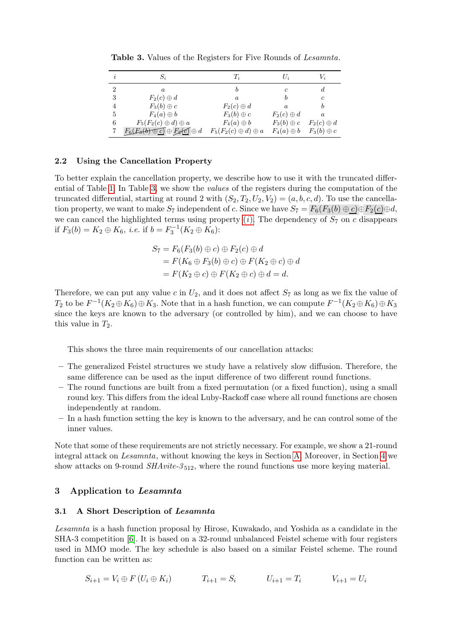| i              | $S_{\it i}$                                   | $\scriptstyle T_i$              | $U_i$             | Vi                |
|----------------|-----------------------------------------------|---------------------------------|-------------------|-------------------|
| $\overline{2}$ | a.                                            |                                 | $\epsilon$        | d.                |
| 3              | $F_2(c) \oplus d$                             | $\boldsymbol{a}$                |                   | с                 |
| 4              | $F_3(b) \oplus c$                             | $F_2(c) \oplus d$               | $\boldsymbol{a}$  | b                 |
| 5              | $F_4(a) \oplus b$                             | $F_3(b) \oplus c$               | $F_2(c) \oplus d$ | $\boldsymbol{a}$  |
| 6              | $F_5(F_2(c) \oplus d) \oplus a$               | $F_4(a) \oplus b$               | $F_3(b) \oplus c$ | $F_2(c) \oplus d$ |
|                | $F_6(E_3(b) \oplus C) \oplus F_2(C) \oplus d$ | $F_5(F_2(c) \oplus d) \oplus a$ | $F_4(a) \oplus b$ | $F_3(b) \oplus c$ |

<span id="page-5-1"></span>Table 3. Values of the Registers for Five Rounds of Lesamnta.

#### 2.2 Using the Cancellation Property

To better explain the cancellation property, we describe how to use it with the truncated differential of Table [1.](#page-3-1) In Table [3,](#page-5-1) we show the values of the registers during the computation of the truncated differential, starting at round 2 with  $(S_2, T_2, U_2, V_2) = (a, b, c, d)$ . To use the cancellation property, we want to make  $S_7$  independent of c. Since we have  $S_7 = F_6(F_3(b) \oplus c) \oplus F_2(c) \oplus d$ , we can cancel the highlighted terms using property  $(i)$ . The dependency of  $S_7$  on c disappears if  $F_3(b) = K_2 \oplus K_6$ , *i.e.* if  $b = F_3^{-1}(K_2 \oplus K_6)$ :

$$
S_7 = F_6(F_3(b) \oplus c) \oplus F_2(c) \oplus d
$$
  
=  $F(K_6 \oplus F_3(b) \oplus c) \oplus F(K_2 \oplus c) \oplus d$   
=  $F(K_2 \oplus c) \oplus F(K_2 \oplus c) \oplus d = d$ .

Therefore, we can put any value c in  $U_2$ , and it does not affect  $S_7$  as long as we fix the value of  $T_2$  to be  $F^{-1}(K_2 \oplus K_6) \oplus K_3$ . Note that in a hash function, we can compute  $F^{-1}(K_2 \oplus K_6) \oplus K_3$ since the keys are known to the adversary (or controlled by him), and we can choose to have this value in  $T_2$ .

This shows the three main requirements of our cancellation attacks:

- The generalized Feistel structures we study have a relatively slow diffusion. Therefore, the same difference can be used as the input difference of two different round functions.
- The round functions are built from a fixed permutation (or a fixed function), using a small round key. This differs from the ideal Luby-Rackoff case where all round functions are chosen independently at random.
- In a hash function setting the key is known to the adversary, and he can control some of the inner values.

Note that some of these requirements are not strictly necessary. For example, we show a 21-round integral attack on Lesamnta, without knowing the keys in Section [A.](#page-18-0) Moreover, in Section [4](#page-11-0) we show attacks on 9-round  $SHArite-3_{512}$ , where the round functions use more keying material.

#### <span id="page-5-0"></span>3 Application to Lesamnta

#### 3.1 A Short Description of Lesamnta

Lesamnta is a hash function proposal by Hirose, Kuwakado, and Yoshida as a candidate in the SHA-3 competition [\[6\]](#page-17-1). It is based on a 32-round unbalanced Feistel scheme with four registers used in MMO mode. The key schedule is also based on a similar Feistel scheme. The round function can be written as:

$$
S_{i+1} = V_i \oplus F(U_i \oplus K_i) \qquad T_{i+1} = S_i \qquad U_{i+1} = T_i \qquad V_{i+1} = U_i
$$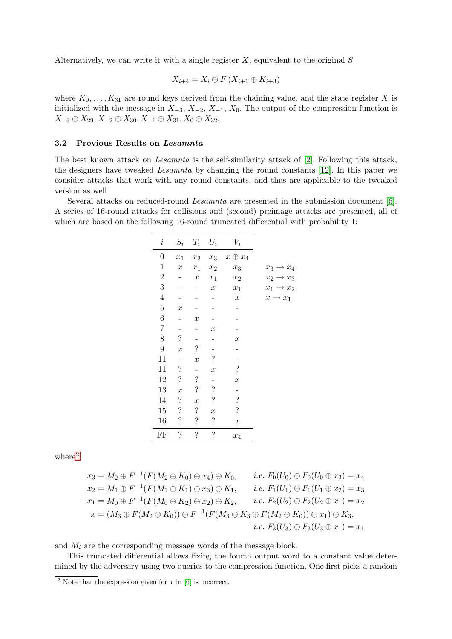Alternatively, we can write it with a single register  $X$ , equivalent to the original  $S$ 

$$
X_{i+4} = X_i \oplus F(X_{i+1} \oplus K_{i+3})
$$

where  $K_0, \ldots, K_{31}$  are round keys derived from the chaining value, and the state register X is initialized with the message in  $X_{-3}$ ,  $X_{-2}$ ,  $X_{-1}$ ,  $X_0$ . The output of the compression function is  $X_{-3} \oplus X_{29}$ ,  $X_{-2} \oplus X_{30}$ ,  $X_{-1} \oplus X_{31}$ ,  $X_0 \oplus X_{32}$ .

#### <span id="page-6-0"></span>3.2 Previous Results on Lesamnta

The best known attack on Lesamnta is the self-similarity attack of [\[2\]](#page-17-4). Following this attack, the designers have tweaked Lesamnta by changing the round constants [\[12\]](#page-18-1). In this paper we consider attacks that work with any round constants, and thus are applicable to the tweaked version as well.

Several attacks on reduced-round Lesamnta are presented in the submission document [\[6\]](#page-17-1). A series of 16-round attacks for collisions and (second) preimage attacks are presented, all of which are based on the following 16-round truncated differential with probability 1:

| $\it i$        | $S_i$                    | $T_i$                    | $U_i$                    | $V_i$              |                       |
|----------------|--------------------------|--------------------------|--------------------------|--------------------|-----------------------|
| $\overline{0}$ | $x_1$                    | $x_2$                    | $x_3$                    | $x \oplus x_4$     |                       |
| $\mathbf 1$    | $\boldsymbol{x}$         | $x_1$                    | $x_2$                    | $x_3$              | $x_3 \rightarrow x_4$ |
| $\overline{2}$ |                          | $\boldsymbol{x}$         | $x_1$                    | $\boldsymbol{x}_2$ | $x_2 \rightarrow x_3$ |
| 3              |                          |                          | $\boldsymbol{x}$         | $\boldsymbol{x}_1$ | $x_1 \rightarrow x_2$ |
| $\overline{4}$ |                          |                          |                          | $\boldsymbol{x}$   | $x \rightarrow x_1$   |
| $\overline{5}$ | $\boldsymbol{x}$         |                          |                          |                    |                       |
| 6              |                          | $\boldsymbol{x}$         |                          |                    |                       |
| 7              |                          |                          | $\boldsymbol{x}$         |                    |                       |
| 8              | $\ddot{?}$               |                          |                          | $\boldsymbol{x}$   |                       |
| 9              | $\boldsymbol{x}$         | $\cdot$                  |                          |                    |                       |
| 11             |                          | $\boldsymbol{x}$         | $\overline{\mathcal{E}}$ |                    |                       |
| 11             | $\ddot{?}$               |                          | $\boldsymbol{x}$         | $\ddot{?}$         |                       |
| 12             | $\ddot{?}$               | $\cdot$                  |                          | $\boldsymbol{x}$   |                       |
| 13             | $\boldsymbol{x}$         | $\ddot{?}$               | $\overline{\mathcal{E}}$ |                    |                       |
| 14             | $\cdot$                  | $\boldsymbol{x}$         | $\ddot{?}$               | $\ddot{?}$         |                       |
| 15             | $\cdot$                  | $\overline{\mathcal{L}}$ | $\boldsymbol{x}$         | $\ddot{?}$         |                       |
| 16             | $\ddot{?}$               | $\ddot{?}$               | $\ddot{?}$               | $\boldsymbol{x}$   |                       |
| FF             | $\overline{\mathcal{E}}$ | $\ddot{?}$               | $\overline{\mathcal{L}}$ | $x_4$              |                       |
|                |                          |                          |                          |                    |                       |

where $^2$  $^2$ 

$$
x_3 = M_2 \oplus F^{-1}(F(M_2 \oplus K_0) \oplus x_4) \oplus K_0, \qquad i.e. \ F_0(U_0) \oplus F_0(U_0 \oplus x_3) = x_4
$$
  
\n
$$
x_2 = M_1 \oplus F^{-1}(F(M_1 \oplus K_1) \oplus x_3) \oplus K_1, \qquad i.e. \ F_1(U_1) \oplus F_1(U_1 \oplus x_2) = x_3
$$
  
\n
$$
x_1 = M_0 \oplus F^{-1}(F(M_0 \oplus K_2) \oplus x_2) \oplus K_2, \qquad i.e. \ F_2(U_2) \oplus F_2(U_2 \oplus x_1) = x_2
$$
  
\n
$$
x = (M_3 \oplus F(M_2 \oplus K_0)) \oplus F^{-1}(F(M_3 \oplus K_3 \oplus F(M_2 \oplus K_0)) \oplus x_1) \oplus K_3,
$$
  
\n
$$
i.e. \ F_3(U_3) \oplus F_3(U_3 \oplus x_1) = x_1
$$

and  $M_i$  are the corresponding message words of the message block.

This truncated differential allows fixing the fourth output word to a constant value determined by the adversary using two queries to the compression function. One first picks a random

<span id="page-6-1"></span><sup>&</sup>lt;sup>2</sup> Note that the expression given for x in [\[6\]](#page-17-1) is incorrect.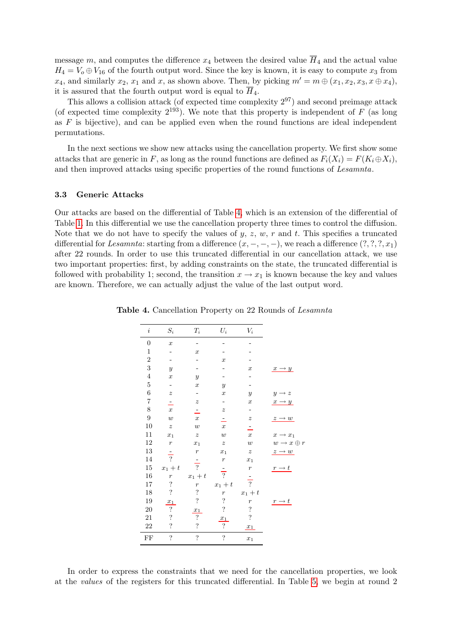message m, and computes the difference  $x_4$  between the desired value  $\overline{H}_4$  and the actual value  $H_4 = V_0 \oplus V_{16}$  of the fourth output word. Since the key is known, it is easy to compute  $x_3$  from  $x_4$ , and similarly  $x_2$ ,  $x_1$  and  $x$ , as shown above. Then, by picking  $m' = m \oplus (x_1, x_2, x_3, x \oplus x_4)$ , it is assured that the fourth output word is equal to  $\overline{H}_4$ .

This allows a collision attack (of expected time complexity  $2^{97}$ ) and second preimage attack (of expected time complexity  $2^{193}$ ). We note that this property is independent of F (as long as  $F$  is bijective), and can be applied even when the round functions are ideal independent permutations.

In the next sections we show new attacks using the cancellation property. We first show some attacks that are generic in F, as long as the round functions are defined as  $F_i(X_i) = F(K_i \oplus X_i)$ , and then improved attacks using specific properties of the round functions of Lesamnta.

#### 3.3 Generic Attacks

Our attacks are based on the differential of Table [4,](#page-7-0) which is an extension of the differential of Table [1.](#page-3-1) In this differential we use the cancellation property three times to control the diffusion. Note that we do not have to specify the values of y, z, w, r and t. This specifies a truncated differential for Lesamnta: starting from a difference  $(x, -, -, -)$ , we reach a difference  $(?, ?, ', x_1)$ after 22 rounds. In order to use this truncated differential in our cancellation attack, we use two important properties: first, by adding constraints on the state, the truncated differential is followed with probability 1; second, the transition  $x \to x_1$  is known because the key and values are known. Therefore, we can actually adjust the value of the last output word.

<span id="page-7-0"></span>

| $\it i$          | $\mathcal{S}_i$                     | $\mathcal{T}_i$    | $\mathcal{U}_i$  | $V_i$                    |                                     |
|------------------|-------------------------------------|--------------------|------------------|--------------------------|-------------------------------------|
| $\boldsymbol{0}$ | $\boldsymbol{x}$                    |                    |                  |                          |                                     |
| $\,1$            |                                     | $\boldsymbol{x}$   |                  |                          |                                     |
| $\overline{2}$   |                                     |                    | $\overline{x}$   |                          |                                     |
| 3                | $\boldsymbol{y}$                    |                    |                  | $\boldsymbol{x}$         | $x \rightarrow y$                   |
| $\overline{4}$   | $\boldsymbol{x}$                    | $\overline{y}$     |                  |                          |                                     |
| $\overline{5}$   |                                     | $\boldsymbol{x}$   | $\mathcal{Y}$    |                          |                                     |
| $\,$ 6 $\,$      | $\boldsymbol{z}$                    | -                  | $\boldsymbol{x}$ | $\overline{y}$           | $\boldsymbol{y}$<br>$\rightarrow z$ |
| $\overline{7}$   | $\equiv$                            | $\boldsymbol{z}$   |                  | $\boldsymbol{x}$         | $\boldsymbol{x}$<br>$\rightarrow y$ |
| 8                | $\boldsymbol{x}$                    | Ξ                  | $\boldsymbol{z}$ | ÷,                       |                                     |
| $\boldsymbol{9}$ | $\overline{w}$                      | $\boldsymbol{x}$   | Ξ                | $\boldsymbol{z}$         | $\rightarrow w$<br>$z$ -            |
| $10\,$           | $\boldsymbol{z}$                    | $\boldsymbol{w}$   | $\boldsymbol{x}$ | Ξ                        |                                     |
| 11               | $\boldsymbol{x}_1$                  | $\boldsymbol{z}$   | $\boldsymbol{w}$ | $\boldsymbol{x}$         | $x \rightarrow x_1$                 |
| 12               | $\boldsymbol{r}$                    | $x_1$              | $\boldsymbol{z}$ | $\boldsymbol{w}$         | $w \rightarrow x \oplus r$          |
| 13               |                                     | $\boldsymbol{r}$   | $x_1$            | $\boldsymbol{z}$         | $z \rightarrow w$                   |
| 14               | $\overline{?}$                      | $\frac{1}{2}$      | $\boldsymbol{r}$ | $x_1$                    |                                     |
| $15\,$           | $\boldsymbol{x}_1 + \boldsymbol{t}$ |                    |                  | $\,r\,$                  | $\rightarrow t$                     |
| $16\,$           | $\boldsymbol{r}$                    | $x_1 + t$          | $\overline{?}$   |                          |                                     |
| 17               | $\ddot{?}$                          | $\boldsymbol{r}$   | $x_1 + t$        | $\overline{?}$           |                                     |
| 18               | $\ddot{?}$                          | $\ddot{?}$         | $\boldsymbol{r}$ | $x_1 + t$                |                                     |
| 19               | $x_1$                               | $\ddot{?}$         | $\ddot{?}$       | $\boldsymbol{r}$         | $\rightarrow t$<br>r                |
| $20\,$           | $\ddot{?}$                          | $x_1$              | $\ddot{?}$       | $\ddot{\cdot}$           |                                     |
| $21\,$           | $\overline{\cdot}$                  | $\overline{\cdot}$ | $x_1$            | $\overline{\mathcal{L}}$ |                                     |
| 22               | $\ddot{?}$                          | $\ddot{\cdot}$     | ?                | $x_1$                    |                                     |
| $\rm FF$         | $\ddot{?}$                          | $\ddot{?}$         | $\ddot{?}$       | $x_1$                    |                                     |

Table 4. Cancellation Property on 22 Rounds of Lesamnta

In order to express the constraints that we need for the cancellation properties, we look at the values of the registers for this truncated differential. In Table [5,](#page-8-0) we begin at round 2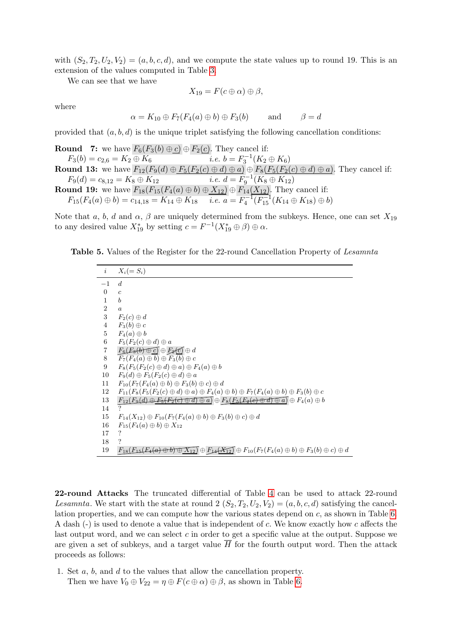with  $(S_2, T_2, U_2, V_2) = (a, b, c, d)$ , and we compute the state values up to round 19. This is an extension of the values computed in Table [3.](#page-5-1)

We can see that we have

$$
X_{19}=F(c\oplus\alpha)\oplus\beta,
$$

where

$$
\alpha = K_{10} \oplus F_7(F_4(a) \oplus b) \oplus F_3(b) \quad \text{and} \quad \beta = d
$$

provided that  $(a, b, d)$  is the unique triplet satisfying the following cancellation conditions:

**Round 7:** we have  $F_6(F_3(b) \oplus c) \oplus F_2(c)$ . They cancel if:  $F_3(b) = c_{2,6} = K_2 \oplus K_6$  i.e.  $b = F_3^{-1}(K_2 \oplus K_6)$ **Round 13:** we have  $F_{12}(F_9(d) \oplus F_5(F_2(c) \oplus d) \oplus a) \oplus F_8(F_5(F_2(c) \oplus d) \oplus a)$ . They cancel if:  $F_9(d) = c_{8,12} = K_8 \oplus K_{12}$  i.e.  $d = F_9^{-1}(K_8 \oplus K_{12})$ **Round 19:** we have  $F_{18}(F_{15}(F_4(a) \oplus b) \oplus \underline{X_{12}}) \oplus F_{14}(\underline{X_{12}})$ . They cancel if:  $F_{15}(F_4(a) \oplus b) = c_{14,18} = K_{14} \oplus K_{18} \quad i.e. \ a = F_4^{-1}(F_{15}^{-1}(K_{14} \oplus K_{18}) \oplus b)$ 

Note that a, b, d and  $\alpha$ ,  $\beta$  are uniquely determined from the subkeys. Hence, one can set  $X_{19}$ to any desired value  $X_{19}^*$  by setting  $c = F^{-1}(X_{19}^* \oplus \beta) \oplus \alpha$ .

| <b>Table 5.</b> Values of the Register for the 22-round Cancellation Property of Lesamnta |  |
|-------------------------------------------------------------------------------------------|--|
|-------------------------------------------------------------------------------------------|--|

<span id="page-8-0"></span>

| $\it i$          | $X_i (= S_i)$                                                                                                                                     |
|------------------|---------------------------------------------------------------------------------------------------------------------------------------------------|
| $-1$             | $\boldsymbol{d}$                                                                                                                                  |
| $\boldsymbol{0}$ | $\boldsymbol{c}$                                                                                                                                  |
| 1                | $\boldsymbol{b}$                                                                                                                                  |
| $\overline{2}$   | $\boldsymbol{a}$                                                                                                                                  |
| $\sqrt{3}$       | $F_2(c) \oplus d$                                                                                                                                 |
| $\overline{4}$   | $F_3(b) \oplus c$                                                                                                                                 |
| $\overline{5}$   | $F_4(a) \oplus b$                                                                                                                                 |
| 6                | $F_5(F_2(c) \oplus d) \oplus a$                                                                                                                   |
| $\,7$            | $F_6(E_3(b) \oplus C) \oplus F_2(C) \oplus d$                                                                                                     |
| 8                | $F_7(F_4(a) \oplus b) \oplus F_3(b) \oplus c$                                                                                                     |
| 9                | $F_8(F_5(F_2(c) \oplus d) \oplus a) \oplus F_4(a) \oplus b$                                                                                       |
| 10               | $F_9(d) \oplus F_5(F_2(c) \oplus d) \oplus a$                                                                                                     |
| 11               | $F_{10}(F_7(F_4(a) \oplus b) \oplus F_3(b) \oplus c) \oplus d$                                                                                    |
| 12               | $F_{11}(F_8(F_5(F_2(c) \oplus d) \oplus a) \oplus F_4(a) \oplus b) \oplus F_7(F_4(a) \oplus b) \oplus F_3(b) \oplus c$                            |
| 13               | $F_{12}(F_9(d) \oplus F_5(F_2(c) \oplus d) \oplus a) \oplus F_8(F_5(F_2(e) \oplus d) \oplus a) \oplus F_4(a) \oplus b$                            |
| 14               | ?                                                                                                                                                 |
| 15               | $F_{14}(X_{12}) \oplus F_{10}(F_7(F_4(a) \oplus b) \oplus F_3(b) \oplus c) \oplus d$                                                              |
| 16               | $F_{15}(F_4(a) \oplus b) \oplus X_{12}$                                                                                                           |
| 17               | $\cdot$                                                                                                                                           |
| 18               | ?                                                                                                                                                 |
| 19               | $F_{18}(F_{15}(F_{4}(a) \oplus b) \oplus X_{12}) \oplus F_{14}(X_{12}) \oplus F_{10}(F_{7}(F_{4}(a) \oplus b) \oplus F_{3}(b) \oplus c) \oplus d$ |

<span id="page-8-1"></span>22-round Attacks The truncated differential of Table [4](#page-7-0) can be used to attack 22-round Lesamnta. We start with the state at round 2  $(S_2, T_2, U_2, V_2) = (a, b, c, d)$  satisfying the cancellation properties, and we can compute how the various states depend on c, as shown in Table [6.](#page-9-0) A dash (-) is used to denote a value that is independent of c. We know exactly how c affects the last output word, and we can select  $c$  in order to get a specific value at the output. Suppose we are given a set of subkeys, and a target value  $\overline{H}$  for the fourth output word. Then the attack proceeds as follows:

1. Set a, b, and d to the values that allow the cancellation property. Then we have  $V_0 \oplus V_{22} = \eta \oplus F(c \oplus \alpha) \oplus \beta$ , as shown in Table [6.](#page-9-0)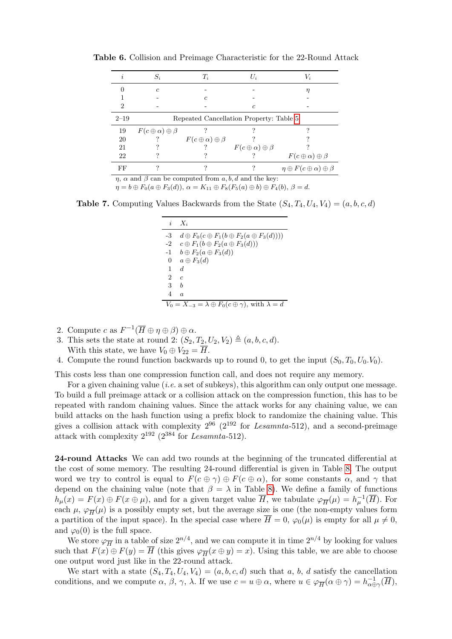<span id="page-9-0"></span>

| $\boldsymbol{\eta}$ | $S_i$                             | $T_i$                             | $U_i$                                   | $V_i$                                         |
|---------------------|-----------------------------------|-----------------------------------|-----------------------------------------|-----------------------------------------------|
|                     | $\epsilon$                        |                                   |                                         |                                               |
|                     |                                   | $\epsilon$                        |                                         |                                               |
| 2                   |                                   |                                   | $\epsilon$                              |                                               |
| $2 - 19$            |                                   |                                   | Repeated Cancellation Property: Table 5 |                                               |
| 19                  | $F(c \oplus \alpha) \oplus \beta$ |                                   |                                         |                                               |
| 20                  |                                   | $F(c \oplus \alpha) \oplus \beta$ |                                         |                                               |
| 21                  |                                   |                                   | $F(c \oplus \alpha) \oplus \beta$       |                                               |
| 22                  |                                   |                                   |                                         | $F(c \oplus \alpha) \oplus \beta$             |
| FF                  |                                   |                                   |                                         | $\eta \oplus F(c \oplus \alpha) \oplus \beta$ |

Table 6. Collision and Preimage Characteristic for the 22-Round Attack

 $\eta$ ,  $\alpha$  and  $\beta$  can be computed from a, b, d and the key:

 $\eta = b \oplus F_0(a \oplus F_3(d)), \alpha = K_{11} \oplus F_8(F_5(a) \oplus b) \oplus F_4(b), \beta = d.$ 

**Table 7.** Computing Values Backwards from the State  $(S_4, T_4, U_4, V_4) = (a, b, c, d)$ 

| $\dot{i}$      | $X_i$                                                                     |
|----------------|---------------------------------------------------------------------------|
| -3             | $d \oplus F_0(c \oplus F_1(b \oplus F_2(a \oplus F_3(d))))$               |
| $-2$           | $c \oplus F_1(b \oplus F_2(a \oplus F_3(d)))$                             |
| $-1$           | $b \oplus F_2(a \oplus F_3(d))$                                           |
| $\overline{0}$ | $a \oplus F_3(d)$                                                         |
| 1              | $\overline{d}$                                                            |
| 2              | $\epsilon$                                                                |
| 3              | $\boldsymbol{b}$                                                          |
| 4              | $\alpha$                                                                  |
|                | $V_0 = X_{-3} = \lambda \oplus F_0(c \oplus \gamma)$ , with $\lambda = d$ |

- 2. Compute c as  $F^{-1}(\overline{H}\oplus\eta\oplus\beta)\oplus\alpha$ .
- 3. This sets the state at round 2:  $(S_2, T_2, U_2, V_2) \triangleq (a, b, c, d)$ . With this state, we have  $V_0 \oplus V_{22} = \overline{H}$ .
- 4. Compute the round function backwards up to round 0, to get the input  $(S_0, T_0, U_0, V_0)$ .

This costs less than one compression function call, and does not require any memory.

For a given chaining value (*i.e.* a set of subkeys), this algorithm can only output one message. To build a full preimage attack or a collision attack on the compression function, this has to be repeated with random chaining values. Since the attack works for any chaining value, we can build attacks on the hash function using a prefix block to randomize the chaining value. This gives a collision attack with complexity  $2^{96}$  ( $2^{192}$  for Lesamnta-512), and a second-preimage attack with complexity  $2^{192}$  ( $2^{384}$  for Lesamnta-512).

<span id="page-9-1"></span>24-round Attacks We can add two rounds at the beginning of the truncated differential at the cost of some memory. The resulting 24-round differential is given in Table [8.](#page-10-0) The output word we try to control is equal to  $F(c \oplus \gamma) \oplus F(c \oplus \alpha)$ , for some constants  $\alpha$ , and  $\gamma$  that depend on the chaining value (note that  $\beta = \lambda$  in Table [8\)](#page-10-0). We define a family of functions  $h_\mu(x) = F(x) \oplus F(x \oplus \mu)$ , and for a given target value  $\overline{H}$ , we tabulate  $\varphi_{\overline{H}}(\mu) = h_\mu^{-1}(\overline{H})$ . For each  $\mu$ ,  $\varphi_{\overline{H}}(\mu)$  is a possibly empty set, but the average size is one (the non-empty values form a partition of the input space). In the special case where  $\overline{H} = 0$ ,  $\varphi_0(\mu)$  is empty for all  $\mu \neq 0$ , and  $\varphi_0(0)$  is the full space.

We store  $\varphi_{\overline{H}}$  in a table of size  $2^{n/4}$ , and we can compute it in time  $2^{n/4}$  by looking for values such that  $F(x) \oplus F(y) = H$  (this gives  $\varphi_{\overline{H}}(x \oplus y) = x$ ). Using this table, we are able to choose one output word just like in the 22-round attack.

We start with a state  $(S_4, T_4, U_4, V_4) = (a, b, c, d)$  such that a, b, d satisfy the cancellation conditions, and we compute  $\alpha$ ,  $\beta$ ,  $\gamma$ ,  $\lambda$ . If we use  $c = u \oplus \alpha$ , where  $u \in \varphi_{\overline{H}}(\alpha \oplus \gamma) = h_{\alpha \oplus \gamma}^{-1}(\overline{H})$ ,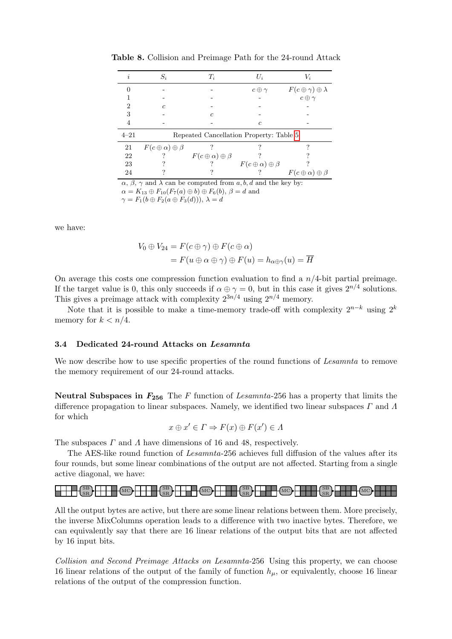<span id="page-10-0"></span>

| i.                                                                                       | $S_i$                             | $T_i$                             | $U_i$                                   | $V_i$                               |  |
|------------------------------------------------------------------------------------------|-----------------------------------|-----------------------------------|-----------------------------------------|-------------------------------------|--|
|                                                                                          |                                   |                                   | $c \oplus \gamma$                       | $F(c \oplus \gamma) \oplus \lambda$ |  |
|                                                                                          |                                   |                                   |                                         | $c \oplus \gamma$                   |  |
| 2                                                                                        | $\epsilon$                        |                                   |                                         |                                     |  |
| 3                                                                                        |                                   | c                                 |                                         |                                     |  |
| 4                                                                                        |                                   |                                   | $\epsilon$                              |                                     |  |
| $4 - 21$                                                                                 |                                   |                                   | Repeated Cancellation Property: Table 5 |                                     |  |
| 21                                                                                       | $F(c \oplus \alpha) \oplus \beta$ |                                   |                                         |                                     |  |
| 22                                                                                       |                                   | $F(c \oplus \alpha) \oplus \beta$ |                                         |                                     |  |
| 23                                                                                       |                                   |                                   | $F(c \oplus \alpha) \oplus \beta$       |                                     |  |
| 24                                                                                       |                                   |                                   |                                         | $F(c \oplus \alpha) \oplus \beta$   |  |
| $\alpha$ , $\beta$ , $\gamma$ and $\lambda$ can be computed from a, b, d and the key by: |                                   |                                   |                                         |                                     |  |

Table 8. Collision and Preimage Path for the 24-round Attack

 $\alpha$ ,  $\beta$ ,  $\gamma$  and  $\lambda$  can be computed from a, b, d and the key by:  $\alpha = K_{13} \oplus F_{10}(F_7(a) \oplus b) \oplus F_6(b), \beta = d$  and  $\gamma = F_1(b \oplus F_2(a \oplus F_3(d))), \lambda = d$ 

we have:

$$
V_0 \oplus V_{24} = F(c \oplus \gamma) \oplus F(c \oplus \alpha)
$$
  
=  $F(u \oplus \alpha \oplus \gamma) \oplus F(u) = h_{\alpha \oplus \gamma}(u) = \overline{H}$ 

On average this costs one compression function evaluation to find a  $n/4$ -bit partial preimage. If the target value is 0, this only succeeds if  $\alpha \oplus \gamma = 0$ , but in this case it gives  $2^{n/4}$  solutions. This gives a preimage attack with complexity  $2^{3n/4}$  using  $2^{n/4}$  memory.

Note that it is possible to make a time-memory trade-off with complexity  $2^{n-k}$  using  $2^k$ memory for  $k < n/4$ .

#### <span id="page-10-1"></span>3.4 Dedicated 24-round Attacks on Lesamnta

We now describe how to use specific properties of the round functions of Lesamnta to remove the memory requirement of our 24-round attacks.

Neutral Subspaces in  $F_{256}$  The F function of Lesamnta-256 has a property that limits the difference propagation to linear subspaces. Namely, we identified two linear subspaces  $\Gamma$  and  $\Lambda$ for which

$$
x \oplus x' \in \Gamma \Rightarrow F(x) \oplus F(x') \in \Lambda
$$

The subspaces  $\Gamma$  and  $\Lambda$  have dimensions of 16 and 48, respectively.

The AES-like round function of Lesamnta-256 achieves full diffusion of the values after its four rounds, but some linear combinations of the output are not affected. Starting from a single active diagonal, we have:

#### $\left\{\frac{\text{SB}}{\text{SR}}\right\}$   $\left\{\frac{\text{MO}}{\text{MC}}\right\}$   $\left\{\frac{\text{SB}}{\text{SR}}\right\}$  $\left( \frac{\text{SB}}{\text{SR}} \right)$  MC  $\left( \frac{\text{SB}}{\text{SR}} \right)$  MC  $\left( \frac{\text{SB}}{\text{SR}} \right)$ ┢╈╈  $\left\lceil \text{MC} \right\rceil$

All the output bytes are active, but there are some linear relations between them. More precisely, the inverse MixColumns operation leads to a difference with two inactive bytes. Therefore, we can equivalently say that there are 16 linear relations of the output bits that are not affected by 16 input bits.

Collision and Second Preimage Attacks on Lesamnta-256 Using this property, we can choose 16 linear relations of the output of the family of function  $h_{\mu}$ , or equivalently, choose 16 linear relations of the output of the compression function.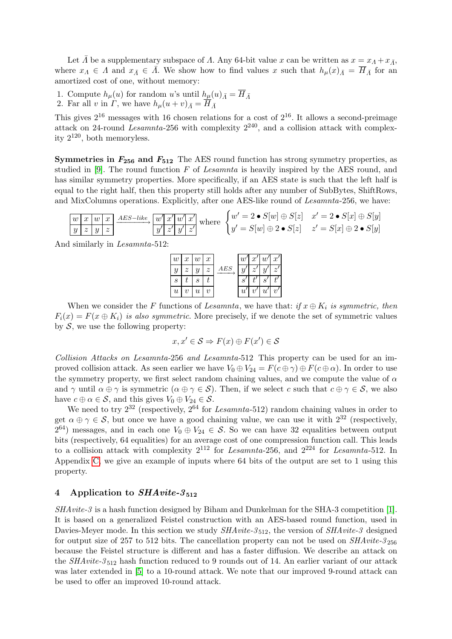Let  $\bar{\Lambda}$  be a supplementary subspace of  $\Lambda$ . Any 64-bit value x can be written as  $x = x_{\Lambda} + x_{\bar{\Lambda}}$ , where  $x_\Lambda \in \Lambda$  and  $x_{\bar{\Lambda}} \in \bar{\Lambda}$ . We show how to find values x such that  $h_\mu(x)_{\bar{\Lambda}} = \overline{H}_{\bar{\Lambda}}$  for an amortized cost of one, without memory:

- 1. Compute  $h_{\mu}(u)$  for random u's until  $h_{\mu}(u)_{\bar{A}} = H_{\bar{A}}$
- 2. Far all v in  $\Gamma$ , we have  $h_{\mu}(u+v)_{\bar{A}} = H_{\bar{A}}$

This gives  $2^{16}$  messages with 16 chosen relations for a cost of  $2^{16}$ . It allows a second-preimage attack on 24-round Lesamnta-256 with complexity  $2^{240}$ , and a collision attack with complexity  $2^{120}$ , both memoryless.

**Symmetries in**  $F_{256}$  **and**  $F_{512}$  The AES round function has strong symmetry properties, as studied in [\[9\]](#page-17-5). The round function  $F$  of Lesamnta is heavily inspired by the AES round, and has similar symmetry properties. More specifically, if an AES state is such that the left half is equal to the right half, then this property still holds after any number of SubBytes, ShiftRows, and MixColumns operations. Explicitly, after one AES-like round of Lesamnta-256, we have:

$$
\boxed{w \mid x \mid w \mid x} \xrightarrow{AES-like} \boxed{w' \mid x' \mid w' \mid x'} \text{ where } \begin{cases} w' = 2 \cdot S[w] \oplus S[z] & x' = 2 \cdot S[x] \oplus S[y] \\ y' = S[w] \oplus 2 \cdot S[z] & z' = S[x] \oplus 2 \cdot S[y] \end{cases}
$$

And similarly in Lesamnta-512:



When we consider the F functions of Lesamnta, we have that: if  $x \oplus K_i$  is symmetric, then  $F_i(x) = F(x \oplus K_i)$  is also symmetric. More precisely, if we denote the set of symmetric values by  $S$ , we use the following property:

$$
x, x' \in \mathcal{S} \Rightarrow F(x) \oplus F(x') \in \mathcal{S}
$$

Collision Attacks on Lesamnta-256 and Lesamnta-512 This property can be used for an improved collision attack. As seen earlier we have  $V_0 \oplus V_{24} = F(c \oplus \gamma) \oplus F(c \oplus \alpha)$ . In order to use the symmetry property, we first select random chaining values, and we compute the value of  $\alpha$ and  $\gamma$  until  $\alpha \oplus \gamma$  is symmetric  $(\alpha \oplus \gamma \in \mathcal{S})$ . Then, if we select c such that  $c \oplus \gamma \in \mathcal{S}$ , we also have  $c \oplus \alpha \in \mathcal{S}$ , and this gives  $V_0 \oplus V_{24} \in \mathcal{S}$ .

We need to try  $2^{32}$  (respectively,  $2^{64}$  for *Lesamnta*-512) random chaining values in order to get  $\alpha \oplus \gamma \in \mathcal{S}$ , but once we have a good chaining value, we can use it with  $2^{32}$  (respectively,  $2^{64}$ ) messages, and in each one  $V_0 \oplus V_{24} \in \mathcal{S}$ . So we can have 32 equalities between output bits (respectively, 64 equalities) for an average cost of one compression function call. This leads to a collision attack with complexity  $2^{112}$  for Lesamnta-256, and  $2^{224}$  for Lesamnta-512. In Appendix [C,](#page-22-0) we give an example of inputs where 64 bits of the output are set to 1 using this property.

#### <span id="page-11-0"></span>4 Application to  $SHArite-3_{512}$

SHAvite-3 is a hash function designed by Biham and Dunkelman for the SHA-3 competition [\[1\]](#page-17-6). It is based on a generalized Feistel construction with an AES-based round function, used in Davies-Meyer mode. In this section we study  $SHAvite-3_{512}$ , the version of  $SHAvite-3$  designed for output size of 257 to 512 bits. The cancellation property can not be used on  $SHArite-3_{256}$ because the Feistel structure is different and has a faster diffusion. We describe an attack on the  $SHAvite-3_{512}$  hash function reduced to 9 rounds out of 14. An earlier variant of our attack was later extended in [\[5\]](#page-17-2) to a 10-round attack. We note that our improved 9-round attack can be used to offer an improved 10-round attack.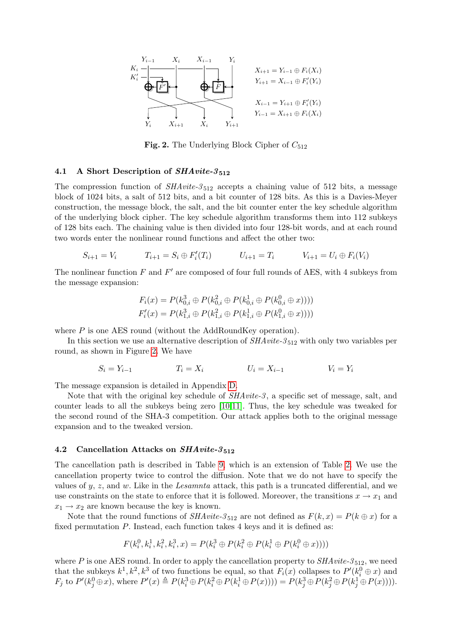

<span id="page-12-0"></span>Fig. 2. The Underlying Block Cipher of  $C_{512}$ 

#### 4.1 A Short Description of  $SHArite-3_{512}$

The compression function of  $SHAvite-3_{512}$  accepts a chaining value of 512 bits, a message block of 1024 bits, a salt of 512 bits, and a bit counter of 128 bits. As this is a Davies-Meyer construction, the message block, the salt, and the bit counter enter the key schedule algorithm of the underlying block cipher. The key schedule algorithm transforms them into 112 subkeys of 128 bits each. The chaining value is then divided into four 128-bit words, and at each round two words enter the nonlinear round functions and affect the other two:

$$
S_{i+1} = V_i \t\t T_{i+1} = S_i \oplus F'_i(T_i) \t\t U_{i+1} = T_i \t\t V_{i+1} = U_i \oplus F_i(V_i)
$$

The nonlinear function  $F$  and  $F'$  are composed of four full rounds of AES, with 4 subkeys from the message expansion:

$$
F_i(x) = P(k_{0,i}^3 \oplus P(k_{0,i}^2 \oplus P(k_{0,i}^1 \oplus P(k_{0,i}^0 \oplus x))))
$$
  

$$
F'_i(x) = P(k_{1,i}^3 \oplus P(k_{1,i}^2 \oplus P(k_{1,i}^1 \oplus P(k_{1,i}^0 \oplus x))))
$$

where P is one AES round (without the AddRoundKey operation).

In this section we use an alternative description of  $SHAvite-3_{512}$  with only two variables per round, as shown in Figure [2.](#page-12-0) We have

$$
S_i = Y_{i-1} \qquad \qquad T_i = X_i \qquad \qquad U_i = X_{i-1} \qquad \qquad V_i = Y_i
$$

The message expansion is detailed in Appendix [D.](#page-22-1)

Note that with the original key schedule of  $SHAvite-3$ , a specific set of message, salt, and counter leads to all the subkeys being zero [\[10,](#page-17-7)[11\]](#page-17-8). Thus, the key schedule was tweaked for the second round of the SHA-3 competition. Our attack applies both to the original message expansion and to the tweaked version.

#### 4.2 Cancellation Attacks on  $SHArite-3_{512}$

The cancellation path is described in Table [9,](#page-13-0) which is an extension of Table [2.](#page-4-0) We use the cancellation property twice to control the diffusion. Note that we do not have to specify the values of  $y, z$ , and w. Like in the Lesamnta attack, this path is a truncated differential, and we use constraints on the state to enforce that it is followed. Moreover, the transitions  $x \to x_1$  and  $x_1 \rightarrow x_2$  are known because the key is known.

Note that the round functions of  $SHAvite-3_{512}$  are not defined as  $F(k, x) = P(k \oplus x)$  for a fixed permutation P. Instead, each function takes 4 keys and it is defined as:

$$
F(k_i^0, k_i^1, k_i^2, k_i^3, x) = P(k_i^3 \oplus P(k_i^2 \oplus P(k_i^1 \oplus P(k_i^0 \oplus x))))
$$

where P is one AES round. In order to apply the cancellation property to  $SHArite-3_{512}$ , we need that the subkeys  $k^1, k^2, k^3$  of two functions be equal, so that  $F_i(x)$  collapses to  $P'(k_i^0 \oplus x)$  and  $F_j$  to  $P'(k_j^0 \oplus x)$ , where  $P'(x) \triangleq P(k_i^3 \oplus P(k_i^2 \oplus P(k_i^1 \oplus P(x)))) = P(k_j^3 \oplus P(k_j^2 \oplus P(k_j^1 \oplus P(x))))$ .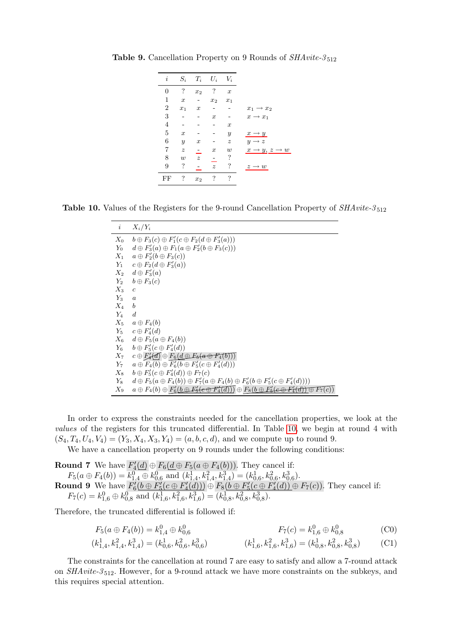<span id="page-13-0"></span>

**Table 9.** Cancellation Property on 9 Rounds of  $SHAvite-3_{512}$ 

**Table 10.** Values of the Registers for the 9-round Cancellation Property of  $SHAvite-3_{512}$ 

<span id="page-13-1"></span>

| $\dot{\imath}$ | $X_i/Y_i$                                                                                                                |
|----------------|--------------------------------------------------------------------------------------------------------------------------|
| $X_{0}$        | $b \oplus F_3(c) \oplus F_1'(c \oplus F_2(d \oplus F_3'(a)))$                                                            |
| $Y_0$          | $d \oplus F'_3(a) \oplus F_1(a \oplus F'_2(b \oplus F_3(c)))$                                                            |
|                | $X_1 \quad a \oplus F_2(b \oplus F_3(c))$                                                                                |
|                | $Y_1 \quad c \oplus F_2(d \oplus F_3'(a))$                                                                               |
|                | $X_2$ $d \oplus F'_3(a)$                                                                                                 |
|                | $Y_2$ $b \oplus F_3(c)$                                                                                                  |
| $X_3$          | $\boldsymbol{c}$                                                                                                         |
| $Y_3$          | $\boldsymbol{a}$                                                                                                         |
| $X_4$ b        |                                                                                                                          |
| $Y_4$          | $\overline{d}$                                                                                                           |
|                | $X_5 \quad a \oplus F_4(b)$                                                                                              |
|                | $Y_5$ $c \oplus F'_4(d)$                                                                                                 |
|                | $X_6$ $d \oplus F_5(a \oplus F_4(b))$                                                                                    |
|                | $Y_6$ $b \oplus F'_5(c \oplus F'_4(d))$                                                                                  |
| $X_7$          | $c \oplus F'_4(\overline{d}) \oplus F_6(\underline{d} \oplus F_5(a \oplus F_4(\overline{b})))$                           |
| $Y_7$          | $a \oplus F_4(b) \oplus F'_6(b \oplus F'_5(c \oplus F'_4(d)))$                                                           |
| $X_8$          | $b \oplus F'_5(c \oplus F'_4(d)) \oplus F_7(c)$                                                                          |
| $Y_8$          | $d \oplus F_5(a \oplus F_4(b)) \oplus F'_7(a \oplus F_4(b) \oplus F'_6(b \oplus F'_5(c \oplus F'_4(d))))$                |
| $X_9$          | $a \oplus F_4(b) \oplus F'_6(b \oplus E'_5(e \oplus F'_4(d))) \oplus F_8(b \oplus E'_5(e \oplus F'_4(d)) \oplus F_7(c))$ |

In order to express the constraints needed for the cancellation properties, we look at the values of the registers for this truncated differential. In Table [10,](#page-13-1) we begin at round 4 with  $(S_4, T_4, U_4, V_4) = (Y_3, X_4, X_3, Y_4) = (a, b, c, d)$ , and we compute up to round 9.

We have a cancellation property on 9 rounds under the following conditions:

**Round 7** We have  $F_4(d) \oplus F_6(d \oplus F_5(a \oplus F_4(b)))$ . They cancel if: 4  $F_5(a \oplus F_4(b)) = k_{1,4}^0 \oplus k_{0,6}^0 \text{ and } (k_{1,4}^1, k_{1,4}^2, k_{1,4}^3) = (k_{0,6}^1, k_{0,6}^2, k_{0,6}^3).$ **Round 9** We have  $F'_6(b \oplus F'_5(c \oplus F'_4(d))) \oplus F_8(b \oplus F'_5(c \oplus F'_4(d)) \oplus F_7(c)$ . They cancel if:  $F_7(c) = k_{1,6}^0 \oplus k_{0,8}^0 \text{ and } (k_{1,6}^1, k_{1,6}^2, k_{1,6}^3) = (k_{0,8}^1, k_{0,8}^2, k_{0,8}^3).$ 

Therefore, the truncated differential is followed if:

$$
F_5(a \oplus F_4(b)) = k_{1,4}^0 \oplus k_{0,6}^0
$$
  

$$
F_7(c) = k_{1,6}^0 \oplus k_{0,8}^0
$$
 (C0)

$$
(k_{1,4}^1, k_{1,4}^2, k_{1,4}^3) = (k_{0,6}^1, k_{0,6}^2, k_{0,6}^3)
$$
\n
$$
(k_{1,6}^1, k_{1,6}^2, k_{1,6}^3) = (k_{0,8}^1, k_{0,8}^2, k_{0,8}^3)
$$
\n
$$
(C1)
$$

The constraints for the cancellation at round 7 are easy to satisfy and allow a 7-round attack on SHAvite-3 <sup>512</sup>. However, for a 9-round attack we have more constraints on the subkeys, and this requires special attention.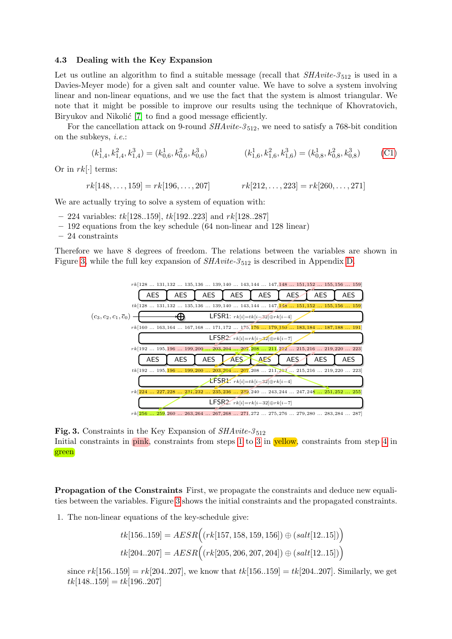#### <span id="page-14-2"></span>4.3 Dealing with the Key Expansion

Let us outline an algorithm to find a suitable message (recall that  $SHAvite\text{-}3_{512}$  is used in a Davies-Meyer mode) for a given salt and counter value. We have to solve a system involving linear and non-linear equations, and we use the fact that the system is almost triangular. We note that it might be possible to improve our results using the technique of Khovratovich, Biryukov and Nikolić [\[7\]](#page-17-9) to find a good message efficiently.

For the cancellation attack on 9-round  $SHArite-3_{512}$ , we need to satisfy a 768-bit condition on the subkeys, i.e.:

$$
(k_{1,4}^1, k_{1,4}^2, k_{1,4}^3) = (k_{0,6}^1, k_{0,6}^2, k_{0,6}^3)
$$
\n
$$
(k_{1,6}^1, k_{1,6}^2, k_{1,6}^3) = (k_{0,8}^1, k_{0,8}^2, k_{0,8}^3)
$$
\n
$$
(C1)
$$

Or in  $rk[\cdot]$  terms:

 $rk[148, \ldots, 159] = rk[196, \ldots, 207]$   $rk[212, \ldots, 223] = rk[260, \ldots, 271]$ 

We are actually trying to solve a system of equation with:

- $-$  224 variables: tk[128..159], tk[192..223] and rk[128..287]
- 192 equations from the key schedule (64 non-linear and 128 linear)
- 24 constraints

Therefore we have 8 degrees of freedom. The relations between the variables are shown in Figure [3,](#page-14-0) while the full key expansion of  $SHArite-3_{512}$  is described in Appendix [D.](#page-22-1)



rk[256 ... 259,260 ... 263,264 ... 267,268 ... 271,272 ... 275,276 ... 279,280 ... 283,284 ... 287]

<span id="page-14-0"></span>Fig. 3. Constraints in the Key Expansion of  $SHArite-3_{512}$ Initial constraints in pink, constraints from steps [1](#page-14-1) to [3](#page-15-0) in yellow, constraints from step [4](#page-15-1) in green

Propagation of the Constraints First, we propagate the constraints and deduce new equalities between the variables. Figure [3](#page-14-0) shows the initial constraints and the propagated constraints.

<span id="page-14-1"></span>1. The non-linear equations of the key-schedule give:

$$
tk[156..159] = AESR((rk[157, 158, 159, 156]) \oplus (salt[12..15]))
$$
  

$$
tk[204..207] = AESR((rk[205, 206, 207, 204]) \oplus (salt[12..15]))
$$

since  $rk[156..159] = rk[204..207]$ , we know that  $tk[156..159] = tk[204..207]$ . Similarly, we get  $tk[148..159] = tk[196..207]$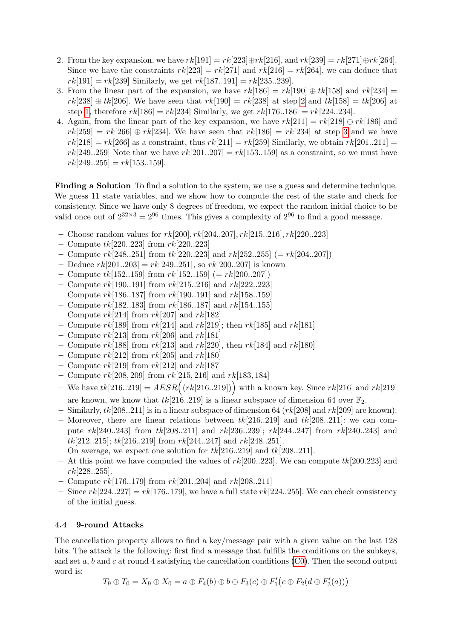- <span id="page-15-2"></span>2. From the key expansion, we have  $rk[191] = rk[223] \oplus rk[216]$ , and  $rk[239] = rk[271] \oplus rk[264]$ . Since we have the constraints  $rk[223] = rk[271]$  and  $rk[216] = rk[264]$ , we can deduce that  $rk[191] = rk[239]$  Similarly, we get  $rk[187..191] = rk[235..239]$ .
- <span id="page-15-0"></span>3. From the linear part of the expansion, we have  $rk[186] = rk[190] \oplus tk[158]$  and  $rk[234] =$  $rk[238] \oplus tk[206]$ . We have seen that  $rk[190] = rk[238]$  at step [2](#page-15-2) and  $tk[158] = tk[206]$  at step [1,](#page-14-1) therefore  $rk[186] = rk[234]$  Similarly, we get  $rk[176..186] = rk[224..234]$ .
- <span id="page-15-1"></span>4. Again, from the linear part of the key expansion, we have  $rk[211] = rk[218] \oplus rk[186]$  and  $rk[259] = rk[266] \oplus rk[234]$ . We have seen that  $rk[186] = rk[234]$  at step [3](#page-15-0) and we have  $rk[218] = rk[266]$  as a constraint, thus  $rk[211] = rk[259]$  Similarly, we obtain  $rk[201..211] =$  $rk[249..259]$  Note that we have  $rk[201..207] = rk[153..159]$  as a constraint, so we must have  $rk[249..255] = rk[153..159].$

Finding a Solution To find a solution to the system, we use a guess and determine technique. We guess 11 state variables, and we show how to compute the rest of the state and check for consistency. Since we have only 8 degrees of freedom, we expect the random initial choice to be valid once out of  $2^{32\times3} = 2^{96}$  times. This gives a complexity of  $2^{96}$  to find a good message.

- Choose random values for  $rk[200], rk[204..207], rk[215..216], rk[220..223]$
- Compute  $tk[220..223]$  from  $rk[220..223]$
- Compute  $rk[248..251]$  from  $tk[220..223]$  and  $rk[252..255] (= rk[204..207])$
- Deduce  $rk[201..203] = rk[249..251]$ , so  $rk[200..207]$  is known
- Compute  $tk[152..159]$  from  $rk[152..159] (= rk[200..207])$
- Compute  $rk[190..191]$  from  $rk[215..216]$  and  $rk[222..223]$
- Compute  $rk[186..187]$  from  $rk[190..191]$  and  $rk[158..159]$
- Compute  $rk[182..183]$  from  $rk[186..187]$  and  $rk[154..155]$
- Compute  $rk[214]$  from  $rk[207]$  and  $rk[182]$
- Compute  $rk[189]$  from  $rk[214]$  and  $rk[219]$ ; then  $rk[185]$  and  $rk[181]$
- Compute  $rk[213]$  from  $rk[206]$  and  $rk[181]$
- Compute rk[188] from rk[213] and rk[220], then rk[184] and rk[180]
- Compute  $rk[212]$  from  $rk[205]$  and  $rk[180]$
- Compute  $rk[219]$  from  $rk[212]$  and  $rk[187]$
- Compute  $rk[208, 209]$  from  $rk[215, 216]$  and  $rk[183, 184]$
- We have  $tk[216..219] = AESR((rk[216..219]))$  with a known key. Since  $rk[216]$  and  $rk[219]$ are known, we know that  $tk[216..219]$  is a linear subspace of dimension 64 over  $\mathbb{F}_2$ .
- Similarly,  $tk[208..211]$  is in a linear subspace of dimension 64  $(rk[208]$  and  $rk[209]$  are known).
- Moreover, there are linear relations between  $tk[216..219]$  and  $tk[208..211]$ : we can compute  $rk[240..243]$  from  $tk[208..211]$  and  $rk[236..239]$ ;  $rk[244..247]$  from  $rk[240..243]$  and  $tk[212..215]$ ;  $tk[216..219]$  from  $rk[244..247]$  and  $rk[248..251]$ .
- On average, we expect one solution for  $tk[216..219]$  and  $tk[208..211]$ .
- At this point we have computed the values of  $rk[200..223]$ . We can compute  $tk[200.223]$  and  $rk[228..255]$ .
- Compute  $rk[176..179]$  from  $rk[201..204]$  and  $rk[208..211]$
- Since  $rk[224..227] = rk[176..179]$ , we have a full state  $rk[224..255]$ . We can check consistency of the initial guess.

#### <span id="page-15-3"></span>4.4 9-round Attacks

The cancellation property allows to find a key/message pair with a given value on the last 128 bits. The attack is the following: first find a message that fulfills the conditions on the subkeys, and set a, b and c at round 4 satisfying the cancellation conditions  $(C0)$ . Then the second output word is:

 $T_9 \oplus T_0 = X_9 \oplus X_0 = a \oplus F_4(b) \oplus b \oplus F_3(c) \oplus F'_1(c \oplus F_2(d \oplus F'_3(a)))$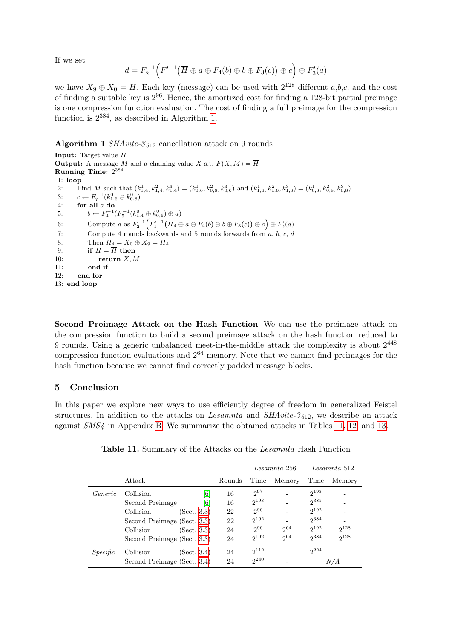If we set

$$
d = F_2^{-1}\Big(F_1'^{-1}(\overline{H} \oplus a \oplus F_4(b) \oplus b \oplus F_3(c)) \oplus c\Big) \oplus F_3'(a)
$$

we have  $X_9 \oplus X_0 = \overline{H}$ . Each key (message) can be used with  $2^{128}$  different  $a,b,c$ , and the cost of finding a suitable key is  $2^{96}$ . Hence, the amortized cost for finding a 128-bit partial preimage is one compression function evaluation. The cost of finding a full preimage for the compression function is  $2^{384}$ , as described in Algorithm [1.](#page-16-1)

<span id="page-16-1"></span>Algorithm 1  $SHAvite-3_{512}$  cancellation attack on 9 rounds

**Input:** Target value  $\overline{H}$ **Output:** A message M and a chaining value X s.t.  $F(X, M) = \overline{H}$ Running Time: 2 384 1: loop 2: Find M such that  $(k_{1,4}^1, k_{1,4}^2, k_{1,4}^3) = (k_{0,6}^1, k_{0,6}^2, k_{0,6}^3)$  and  $(k_{1,6}^1, k_{1,6}^2, k_{1,6}^3) = (k_{0,8}^1, k_{0,8}^2, k_{0,8}^3)$ 3:  $c \leftarrow F_7^{-1}(k_{1,6}^0 \oplus k_{0,8}^0)$ 4: for all a do 5:  $b \leftarrow F_4^{-1}(F_5^{-1}(k_{1,4}^0 \oplus k_{0,6}^0) \oplus a)$  $6\colon\qquad\quad \text{Compute}\; d \;\text{as}\; F_2^{-1}\Bigl( F_1'^{-1}\bigl( \overline{H}_4\oplus a\oplus F_4(b)\oplus b\oplus F_3(c)\bigr)\oplus c\Bigr)\oplus F_3'(a)$ 7: Compute 4 rounds backwards and 5 rounds forwards from  $a, b, c, d$ 8: Then  $H_4 = X_0 \oplus X_9 = \overline{H}_4$ 9: if  $H = \overline{H}$  then 10: return  $X, M$ 11: end if 12: end for 13: end loop

Second Preimage Attack on the Hash Function We can use the preimage attack on the compression function to build a second preimage attack on the hash function reduced to 9 rounds. Using a generic unbalanced meet-in-the-middle attack the complexity is about  $2^{448}$ compression function evaluations and  $2^{64}$  memory. Note that we cannot find preimages for the hash function because we cannot find correctly padded message blocks.

#### <span id="page-16-0"></span>5 Conclusion

In this paper we explore new ways to use efficiently degree of freedom in generalized Feistel structures. In addition to the attacks on *Lesamnta* and  $SHArite-3_{512}$ , we describe an attack against SMS4 in Appendix [B.](#page-20-0) We summarize the obtained attacks in Tables [11,](#page-16-2) [12,](#page-17-10) and [13.](#page-17-11)

|          |                             |        | $Les amnta-256$ |          | $Les amnta-512$ |           |
|----------|-----------------------------|--------|-----------------|----------|-----------------|-----------|
|          | Attack                      | Rounds | Time            | Memory   | Time            | Memory    |
| Generic  | [6]<br>Collision            | 16     | $2^{97}$        |          | $2^{193}$       |           |
|          | [6]<br>Second Preimage      | 16     | $2^{193}$       |          | $2^{385}$       |           |
|          | Collision<br>(Sect. 3.3)    | 22     | $2^{96}$        |          | $2^{192}$       |           |
|          | Second Preimage (Sect. 3.3) | 22     | $2^{192}$       |          | $2^{384}$       |           |
|          | Collision<br>(Sect. 3.3)    | 24     | $2^{96}$        | $2^{64}$ | $2^{192}$       | $2^{128}$ |
|          | Second Preimage (Sect. 3.3) | 24     | $2^{192}$       | 2064     | $2^{384}$       | $2^{128}$ |
| Specific | Collision<br>(Sect. 3.4)    | 24     | $2^{112}$       |          | $2^{224}$       |           |
|          | Second Preimage (Sect. 3.4) | 24     | $2^{240}$       |          |                 | N/A       |

<span id="page-16-2"></span>Table 11. Summary of the Attacks on the Lesamnta Hash Function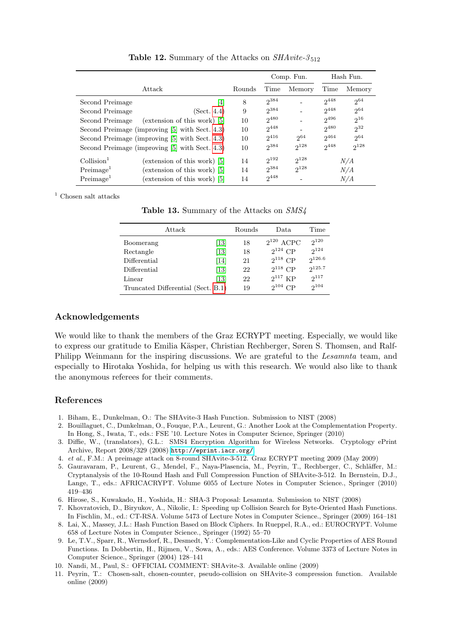|                                                       |         |           | Comp. Fun. | Hash Fun. |           |
|-------------------------------------------------------|---------|-----------|------------|-----------|-----------|
| Attack                                                | Rounds  | Time      | Memory     | Time      | Memory    |
| Second Preimage                                       | 8<br> 4 | $2^{384}$ |            | $2^{448}$ | 2064      |
| Second Preimage<br>(Sect. 4.4)                        | 9       | $2^{384}$ |            | $2^{448}$ | $2^{64}$  |
| Second Preimage<br>(extension of this work) $ 5 $     | 10      | $2^{480}$ |            | $2^{496}$ | $2^{16}$  |
| Second Preimage (improving [5] with Sect. 4.3)        | 10      | $2^{448}$ |            | $2^{480}$ | $2^{32}$  |
| Second Preimage (improving [5] with Sect. 4.3)        | 10      | 2416      | $2^{64}$   | $2^{464}$ | 2064      |
| Second Preimage (improving [5] with Sect. 4.3)        | 10      | $2^{384}$ | $2^{128}$  | $2^{448}$ | $2^{128}$ |
| $\text{Collision}^1$<br>(extension of this work) [5]  | 14      | $2^{192}$ | $2^{128}$  |           | N/A       |
| Preimage <sup>1</sup><br>(extension of this work) [5] | 14      | $2^{384}$ | $2^{128}$  |           | N/A       |
| Preimage <sup>1</sup><br>(extension of this work) [5] | 14      | $2^{448}$ |            |           | N/A       |

<span id="page-17-10"></span>**Table 12.** Summary of the Attacks on  $SHAvite-3_{512}$ 

 $^{\mathrm{1}}$  Chosen salt attacks

<span id="page-17-11"></span>

|  | Table 13. Summary of the Attacks on SMS4 |  |  |  |  |
|--|------------------------------------------|--|--|--|--|
|--|------------------------------------------|--|--|--|--|

| Attack                             |                              | Rounds | Data           | Time      |
|------------------------------------|------------------------------|--------|----------------|-----------|
| Boomerang                          | $\left\lceil 13\right\rceil$ | 18     | $2^{120}$ ACPC | $2^{120}$ |
| Rectangle                          | $[13]$                       | 18     | $2^{124}$ CP   | $2^{124}$ |
| Differential                       | $\vert 14 \vert$             | 21     | $2^{118}$ CP   | 2126.6    |
| Differential                       | $[13]$                       | 22     | $2^{118}$ CP   | 2125.7    |
| Linear                             | [13]                         | 22     | $2^{117}$ KP   | $2^{117}$ |
| Truncated Differential (Sect. B.1) |                              | 19     | $2^{104}$ CP   | $2^{104}$ |

#### Acknowledgements

We would like to thank the members of the Graz ECRYPT meeting. Especially, we would like to express our gratitude to Emilia Käsper, Christian Rechberger, Søren S. Thomsen, and Ralf-Philipp Weinmann for the inspiring discussions. We are grateful to the Lesamnta team, and especially to Hirotaka Yoshida, for helping us with this research. We would also like to thank the anonymous referees for their comments.

#### References

- <span id="page-17-6"></span>1. Biham, E., Dunkelman, O.: The SHAvite-3 Hash Function. Submission to NIST (2008)
- <span id="page-17-4"></span>2. Bouillaguet, C., Dunkelman, O., Fouque, P.A., Leurent, G.: Another Look at the Complementation Property. In Hong, S., Iwata, T., eds.: FSE '10. Lecture Notes in Computer Science, Springer (2010)
- <span id="page-17-12"></span>3. Diffie, W., (translators), G.L.: SMS4 Encryption Algorithm for Wireless Networks. Cryptology ePrint Archive, Report 2008/329 (2008) <http://eprint.iacr.org/>.
- <span id="page-17-3"></span>4. et al., F.M.: A preimage attack on 8-round SHAvite-3-512. Graz ECRYPT meeting 2009 (May 2009)
- <span id="page-17-2"></span>5. Gauravaram, P., Leurent, G., Mendel, F., Naya-Plasencia, M., Peyrin, T., Rechberger, C., Schläffer, M.: Cryptanalysis of the 10-Round Hash and Full Compression Function of SHAvite-3-512. In Bernstein, D.J., Lange, T., eds.: AFRICACRYPT. Volume 6055 of Lecture Notes in Computer Science., Springer (2010) 419–436
- <span id="page-17-1"></span>6. Hirose, S., Kuwakado, H., Yoshida, H.: SHA-3 Proposal: Lesamnta. Submission to NIST (2008)
- <span id="page-17-9"></span>7. Khovratovich, D., Biryukov, A., Nikolic, I.: Speeding up Collision Search for Byte-Oriented Hash Functions. In Fischlin, M., ed.: CT-RSA. Volume 5473 of Lecture Notes in Computer Science., Springer (2009) 164–181
- <span id="page-17-0"></span>8. Lai, X., Massey, J.L.: Hash Function Based on Block Ciphers. In Rueppel, R.A., ed.: EUROCRYPT. Volume 658 of Lecture Notes in Computer Science., Springer (1992) 55–70
- <span id="page-17-5"></span>9. Le, T.V., Sparr, R., Wernsdorf, R., Desmedt, Y.: Complementation-Like and Cyclic Properties of AES Round Functions. In Dobbertin, H., Rijmen, V., Sowa, A., eds.: AES Conference. Volume 3373 of Lecture Notes in Computer Science., Springer (2004) 128–141
- <span id="page-17-7"></span>10. Nandi, M., Paul, S.: OFFICIAL COMMENT: SHAvite-3. Available online (2009)
- <span id="page-17-8"></span>11. Peyrin, T.: Chosen-salt, chosen-counter, pseudo-collision on SHAvite-3 compression function. Available online (2009)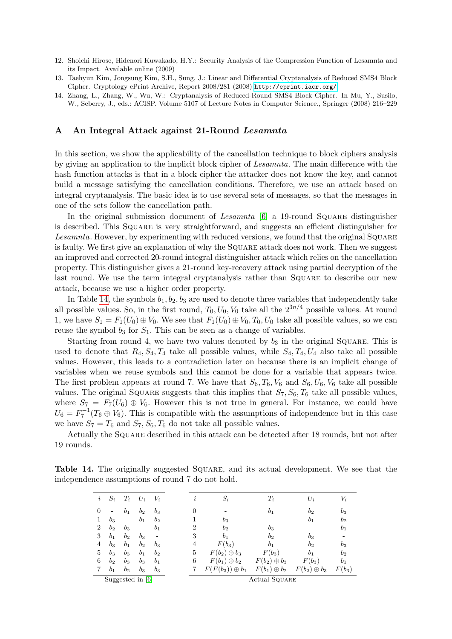- <span id="page-18-1"></span>12. Shoichi Hirose, Hidenori Kuwakado, H.Y.: Security Analysis of the Compression Function of Lesamnta and its Impact. Available online (2009)
- <span id="page-18-2"></span>13. Taehyun Kim, Jongsung Kim, S.H., Sung, J.: Linear and Differential Cryptanalysis of Reduced SMS4 Block Cipher. Cryptology ePrint Archive, Report 2008/281 (2008) <http://eprint.iacr.org/>.
- <span id="page-18-3"></span>14. Zhang, L., Zhang, W., Wu, W.: Cryptanalysis of Reduced-Round SMS4 Block Cipher. In Mu, Y., Susilo, W., Seberry, J., eds.: ACISP. Volume 5107 of Lecture Notes in Computer Science., Springer (2008) 216–229

#### <span id="page-18-0"></span>A An Integral Attack against 21-Round Lesamnta

In this section, we show the applicability of the cancellation technique to block ciphers analysis by giving an application to the implicit block cipher of Lesamnta. The main difference with the hash function attacks is that in a block cipher the attacker does not know the key, and cannot build a message satisfying the cancellation conditions. Therefore, we use an attack based on integral cryptanalysis. The basic idea is to use several sets of messages, so that the messages in one of the sets follow the cancellation path.

In the original submission document of Lesamnta  $[6]$  a 19-round Square distinguisher is described. This Square is very straightforward, and suggests an efficient distinguisher for Lesamnta. However, by experimenting with reduced versions, we found that the original SQUARE is faulty. We first give an explanation of why the Square attack does not work. Then we suggest an improved and corrected 20-round integral distinguisher attack which relies on the cancellation property. This distinguisher gives a 21-round key-recovery attack using partial decryption of the last round. We use the term integral cryptanalysis rather than SQUARE to describe our new attack, because we use a higher order property.

In Table [14,](#page-18-4) the symbols  $b_1, b_2, b_3$  are used to denote three variables that independently take all possible values. So, in the first round,  $T_0$ ,  $U_0$ ,  $V_0$  take all the  $2^{3n/4}$  possible values. At round 1, we have  $S_1 = F_1(U_0) \oplus V_0$ . We see that  $F_1(U_0) \oplus V_0$ ,  $T_0$ ,  $U_0$  take all possible values, so we can reuse the symbol  $b_3$  for  $S_1$ . This can be seen as a change of variables.

Starting from round 4, we have two values denoted by  $b_3$  in the original SQUARE. This is used to denote that  $R_4, S_4, T_4$  take all possible values, while  $S_4, T_4, U_4$  also take all possible values. However, this leads to a contradiction later on because there is an implicit change of variables when we reuse symbols and this cannot be done for a variable that appears twice. The first problem appears at round 7. We have that  $S_6, T_6, V_6$  and  $S_6, U_6, V_6$  take all possible values. The original SQUARE suggests that this implies that  $S_7, S_6, T_6$  take all possible values, where  $S_7 = F_7(U_6) \oplus V_6$ . However this is not true in general. For instance, we could have  $U_6 = F_7^{-1}(T_6 \oplus V_6)$ . This is compatible with the assumptions of independence but in this case we have  $S_7 = T_6$  and  $S_7, S_6, T_6$  do not take all possible values.

Actually the Square described in this attack can be detected after 18 rounds, but not after 19 rounds.

Table 14. The originally suggested Square, and its actual development. We see that the independence assumptions of round 7 do not hold.

<span id="page-18-4"></span>

| $\it i$        | $S_i$          | $T_i$                        | $U_i$                       | $V_i$          | $\imath$       | $S_i$                  | $T_i$               | $U_i$               | $V_i$          |
|----------------|----------------|------------------------------|-----------------------------|----------------|----------------|------------------------|---------------------|---------------------|----------------|
| $\overline{0}$ |                | b <sub>1</sub>               | b <sub>2</sub>              | $b_3$          | $\overline{0}$ |                        | b <sub>1</sub>      | $b_2$               | $b_3$          |
|                | $b_3$          | $\qquad \qquad \blacksquare$ | b <sub>1</sub>              | b <sub>2</sub> |                | $b_3$                  |                     | $b_1$               | b <sub>2</sub> |
| $\overline{2}$ | b <sub>2</sub> | $b_3$                        | -                           | b <sub>1</sub> | 2              | b <sub>2</sub>         | $b_3$               | -                   | b <sub>1</sub> |
| 3              | b <sub>1</sub> | b <sub>2</sub>               | $b_3$                       |                | 3              | b <sub>1</sub>         | $b_2$               | $b_3$               |                |
| 4              | $b_3$          | b <sub>1</sub>               | b <sub>2</sub>              | $b_3$          | 4              | $F(b_3)$               | $b_1$               | $b_2$               | $b_3$          |
| 5              | $b_3$          | $b_3$                        | b <sub>1</sub>              | b <sub>2</sub> | 5              | $F(b_2) \oplus b_3$    | $F(b_3)$            | b <sub>1</sub>      | b <sub>2</sub> |
| 6              | b <sub>2</sub> | $b_3$                        | $b_3$                       | b <sub>1</sub> | 6              | $F(b_1)\oplus b_2$     | $F(b_2) \oplus b_3$ | $F(b_3)$            | $b_1$          |
|                | b <sub>1</sub> | b <sub>2</sub>               | $b_3$                       | $b_3$          |                | $F(F(b_3)) \oplus b_1$ | $F(b_1)\oplus b_2$  | $F(b_2) \oplus b_3$ | $F(b_3)$       |
|                |                |                              | Suggested in $\overline{6}$ |                |                |                        | Actual SQUARE       |                     |                |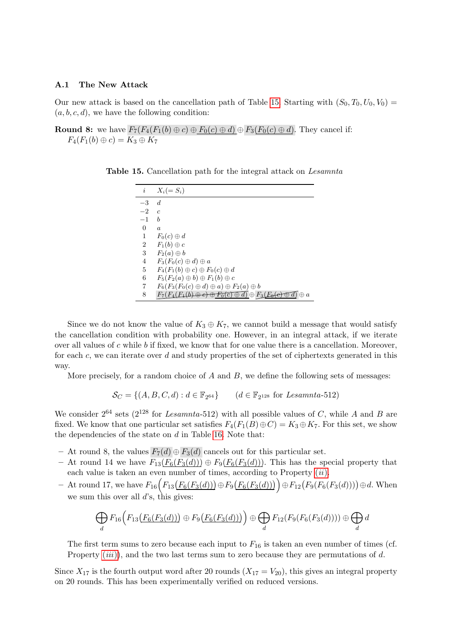#### A.1 The New Attack

Our new attack is based on the cancellation path of Table [15.](#page-19-0) Starting with  $(S_0, T_0, U_0, V_0) =$  $(a, b, c, d)$ , we have the following condition:

**Round 8:** we have  $F_7(F_4(F_1(b) \oplus c) \oplus F_0(c) \oplus d) \oplus F_3(F_0(c) \oplus d)$ . They cancel if:  $F_4(F_1(b) \oplus c) = K_3 \oplus K_7$ 

<span id="page-19-0"></span>

| $\it i$  | $X_i (= S_i)$                                                                             |
|----------|-------------------------------------------------------------------------------------------|
| $-3$     | $\boldsymbol{d}$                                                                          |
| $-2$     | $\epsilon$                                                                                |
| $-1$     | h                                                                                         |
| $\Omega$ | $\boldsymbol{a}$                                                                          |
| 1        | $F_0(c) \oplus d$                                                                         |
| 2        | $F_1(b) \oplus c$                                                                         |
| 3        | $F_2(a) \oplus b$                                                                         |
| 4        | $F_3(F_0(c) \oplus d) \oplus a$                                                           |
| 5        | $F_4(F_1(b) \oplus c) \oplus F_0(c) \oplus d$                                             |
| 6        | $F_5(F_2(a) \oplus b) \oplus F_1(b) \oplus c$                                             |
| 7        | $F_6(F_3(F_0(c) \oplus d) \oplus a) \oplus F_2(a) \oplus b$                               |
| 8        | $F_7(F_4(F_1(b) \oplus e) \oplus F_0(c) \oplus d) \oplus F_3(F_0(e) \oplus$<br>$\oplus$ a |

Table 15. Cancellation path for the integral attack on Lesamnta

Since we do not know the value of  $K_3 \oplus K_7$ , we cannot build a message that would satisfy the cancellation condition with probability one. However, in an integral attack, if we iterate over all values of c while b if fixed, we know that for one value there is a cancellation. Moreover, for each c, we can iterate over  $d$  and study properties of the set of ciphertexts generated in this way.

More precisely, for a random choice of  $A$  and  $B$ , we define the following sets of messages:

$$
\mathcal{S}_C = \{(A, B, C, d) : d \in \mathbb{F}_{2^{64}}\} \qquad (d \in \mathbb{F}_{2^{128}} \text{ for Lesamnta-512})
$$

We consider  $2^{64}$  sets ( $2^{128}$  for *Lesamnta*-512) with all possible values of C, while A and B are fixed. We know that one particular set satisfies  $F_4(F_1(B) \oplus C) = K_3 \oplus K_7$ . For this set, we show the dependencies of the state on  $d$  in Table [16.](#page-20-2) Note that:

- At round 8, the values  $F_7(d) \oplus F_3(d)$  cancels out for this particular set.
- At round 14 we have  $F_{13}(F_6(F_3(d))) \oplus F_9(F_6(F_3(d)))$ . This has the special property that each value is taken an even number of times, according to Property  $(ii)$  $(ii)$  $(ii)$ .
- − At round 17, we have  $F_{16}(F_{13}(F_6(F_3(d))) \oplus F_9(F_6(F_3(d))) \oplus F_{12}(F_9(F_6(F_3(d)))) \oplus d$ . When we sum this over all  $d$ 's, this gives:

$$
\bigoplus_{d} F_{16}\Big(F_{13}\big(F_6(F_3(d))\big) \oplus F_9\big(F_6(F_3(d))\big)\Big) \oplus \bigoplus_{d} F_{12}(F_9(F_6(F_3(d)))) \oplus \bigoplus_{d} d
$$

The first term sums to zero because each input to  $F_{16}$  is taken an even number of times (cf. Property  $(iii)$  $(iii)$  $(iii)$ , and the two last terms sum to zero because they are permutations of d.

Since  $X_{17}$  is the fourth output word after 20 rounds  $(X_{17} = V_{20})$ , this gives an integral property on 20 rounds. This has been experimentally verified on reduced versions.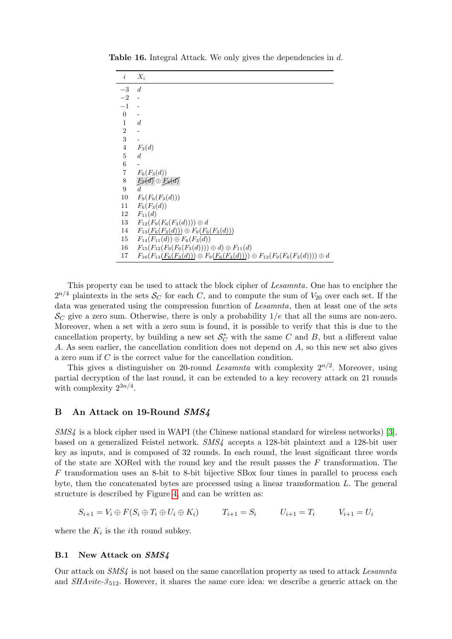<span id="page-20-2"></span>

| $\it i$          | $X_i$                                                                                          |
|------------------|------------------------------------------------------------------------------------------------|
| $-3$             | $\boldsymbol{d}$                                                                               |
| $-2$             |                                                                                                |
| $-1$             |                                                                                                |
| $\overline{0}$   |                                                                                                |
| $\mathbf{1}$     | $\boldsymbol{d}$                                                                               |
| $\,2$            |                                                                                                |
| 3                |                                                                                                |
| $\,4\,$          | $F_3(d)$                                                                                       |
| $\bf 5$          | $\boldsymbol{d}$                                                                               |
| $\boldsymbol{6}$ |                                                                                                |
| $\,7$            | $F_6(F_3(d))$                                                                                  |
| 8                | $E_7(d) \oplus E_3(d)$                                                                         |
| $\boldsymbol{9}$ | d                                                                                              |
| 10               | $F_9(F_6(F_3(d)))$                                                                             |
| 11               | $F_6(F_3(d))$                                                                                  |
| 12               | $F_{11}(d)$                                                                                    |
| 13               | $F_{12}(F_9(F_6(F_3(d)))) \oplus d$                                                            |
| 14               | $F_{13}(F_6(F_3(d))) \oplus F_9(F_6(F_3(d)))$                                                  |
| 15               | $F_{14}(F_{11}(d)) \oplus F_6(F_3(d))$                                                         |
| 16               | $F_{15}(F_{12}(F_9(F_6(F_3(d)))) \oplus d) \oplus F_{11}(d)$                                   |
| 17               | $F_{16}(F_{13}(F_6(F_3(d))) \oplus F_9(F_6(F_3(d)))) \oplus F_{12}(F_9(F_6(F_3(d)))) \oplus d$ |

Table 16. Integral Attack. We only gives the dependencies in d.

This property can be used to attack the block cipher of Lesamnta. One has to encipher the  $2^{n/4}$  plaintexts in the sets  $\mathcal{S}_C$  for each C, and to compute the sum of  $V_{20}$  over each set. If the data was generated using the compression function of Lesamnta, then at least one of the sets  $\mathcal{S}_{\mathcal{C}}$  give a zero sum. Otherwise, there is only a probability  $1/e$  that all the sums are non-zero. Moreover, when a set with a zero sum is found, it is possible to verify that this is due to the cancellation property, by building a new set  $\mathcal{S}_{C}^{*}$  with the same C and B, but a different value A. As seen earlier, the cancellation condition does not depend on A, so this new set also gives a zero sum if C is the correct value for the cancellation condition.

This gives a distinguisher on 20-round Lesamnta with complexity  $2^{n/2}$ . Moreover, using partial decryption of the last round, it can be extended to a key recovery attack on 21 rounds with complexity  $2^{3n/4}$ .

#### <span id="page-20-0"></span>B An Attack on 19-Round SMS4

SMS4 is a block cipher used in WAPI (the Chinese national standard for wireless networks) [\[3\]](#page-17-12), based on a generalized Feistel network. SMS4 accepts a 128-bit plaintext and a 128-bit user key as inputs, and is composed of 32 rounds. In each round, the least significant three words of the state are XORed with the round key and the result passes the  $F$  transformation. The F transformation uses an 8-bit to 8-bit bijective SBox four times in parallel to process each byte, then the concatenated bytes are processed using a linear transformation  $L$ . The general structure is described by Figure [4,](#page-21-0) and can be written as:

$$
S_{i+1} = V_i \oplus F(S_i \oplus T_i \oplus U_i \oplus K_i) \qquad T_{i+1} = S_i \qquad U_{i+1} = T_i \qquad V_{i+1} = U_i
$$

where the  $K_i$  is the *i*<sup>th</sup> round subkey.

#### <span id="page-20-1"></span>B.1 New Attack on SMS4

Our attack on SMS4 is not based on the same cancellation property as used to attack Lesamnta and  $SHArite-3_{512}$ . However, it shares the same core idea: we describe a generic attack on the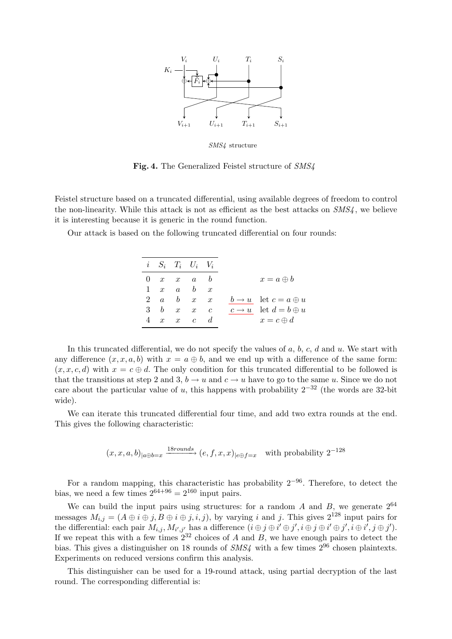

SMS4 structure

<span id="page-21-0"></span>Fig. 4. The Generalized Feistel structure of SMS4

Feistel structure based on a truncated differential, using available degrees of freedom to control the non-linearity. While this attack is not as efficient as the best attacks on  $SMS<sub>4</sub>$ , we believe it is interesting because it is generic in the round function.

Our attack is based on the following truncated differential on four rounds:

|             | $i \quad S_i \quad T_i \quad U_i \quad V_i$ |  |                                        |
|-------------|---------------------------------------------|--|----------------------------------------|
|             | $0 \quad x \quad x \quad a \quad b$         |  | $x = a \oplus b$                       |
|             | $1 \quad x \quad a \quad b \quad x$         |  |                                        |
|             | 2 $a$ $b$ $x$ $x$                           |  | $b \rightarrow u$ let $c = a \oplus u$ |
| $3 \quad b$ | $x \quad x \quad c$                         |  | $c \rightarrow u$ let $d = b \oplus u$ |
|             | $4 \quad x \quad x \quad c \quad d$         |  | $x = c \oplus d$                       |

In this truncated differential, we do not specify the values of  $a, b, c, d$  and  $u$ . We start with any difference  $(x, x, a, b)$  with  $x = a \oplus b$ , and we end up with a difference of the same form:  $(x, x, c, d)$  with  $x = c \oplus d$ . The only condition for this truncated differential to be followed is that the transitions at step 2 and 3,  $b \rightarrow u$  and  $c \rightarrow u$  have to go to the same u. Since we do not care about the particular value of u, this happens with probability  $2^{-32}$  (the words are 32-bit wide).

We can iterate this truncated differential four time, and add two extra rounds at the end. This gives the following characteristic:

$$
(x, x, a, b)_{|a \oplus b=x}
$$
  $\xrightarrow{18 \text{rounds}}$   $(e, f, x, x)_{|e \oplus f=x}$  with probability  $2^{-128}$ 

For a random mapping, this characteristic has probability  $2^{-96}$ . Therefore, to detect the bias, we need a few times  $2^{64+96} = 2^{160}$  input pairs.

We can build the input pairs using structures: for a random  $A$  and  $B$ , we generate  $2^{64}$ messages  $M_{i,j} = (A \oplus i \oplus j, B \oplus i \oplus j, i, j)$ , by varying i and j. This gives  $2^{128}$  input pairs for the differential: each pair  $M_{i,j}$ ,  $M_{i',j'}$  has a difference  $(i \oplus j \oplus i' \oplus j', i \oplus j \oplus j', i \oplus j', i \oplus i', j \oplus j')$ . If we repeat this with a few times  $2^{32}$  choices of A and B, we have enough pairs to detect the bias. This gives a distinguisher on 18 rounds of  $SMS<sub>4</sub>$  with a few times  $2^{96}$  chosen plaintexts. Experiments on reduced versions confirm this analysis.

This distinguisher can be used for a 19-round attack, using partial decryption of the last round. The corresponding differential is: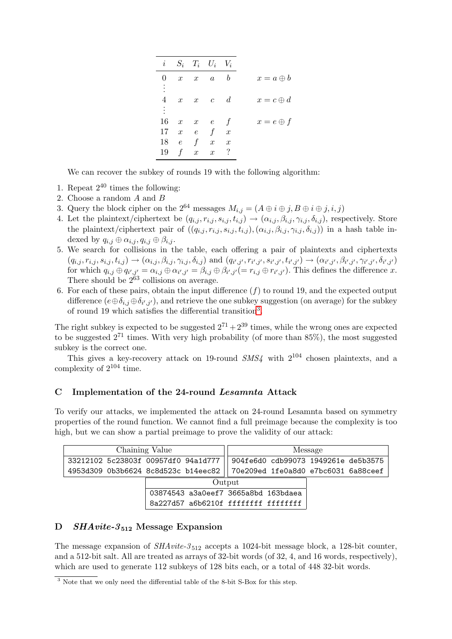| $\boldsymbol{i}$ |                  |                  | $S_i$ $T_i$ $U_i$ $V_i$     |                |                  |
|------------------|------------------|------------------|-----------------------------|----------------|------------------|
| $^{(1)}$         |                  |                  | $x \quad x \quad a$         | b              | $x = a \oplus b$ |
| 4                |                  |                  | $x \quad x \quad c \quad d$ |                | $x = c \oplus d$ |
| ÷.               |                  |                  |                             |                |                  |
| 16               | $\boldsymbol{x}$ | $x \quad e$      |                             | $\int$         | $x=e\oplus f$    |
| 17               |                  |                  | $x \quad e \quad f \quad x$ |                |                  |
| 18               | $\epsilon$       | f                | $\boldsymbol{x}$            | $\overline{x}$ |                  |
| 19               | $\mathbf f$      | $\boldsymbol{x}$ | $\boldsymbol{x}$            | $\cdot$        |                  |

We can recover the subkey of rounds 19 with the following algorithm:

- 1. Repeat  $2^{40}$  times the following:
- 2. Choose a random A and B
- 3. Query the block cipher on the  $2^{64}$  messages  $M_{i,j} = (A \oplus i \oplus j, B \oplus i \oplus j, i, j)$
- 4. Let the plaintext/ciphertext be  $(q_{i,j}, r_{i,j}, s_{i,j}, t_{i,j}) \rightarrow (\alpha_{i,j}, \beta_{i,j}, \gamma_{i,j}, \delta_{i,j})$ , respectively. Store the plaintext/ciphertext pair of  $((q_{i,j}, r_{i,j}, s_{i,j}, t_{i,j}), (\alpha_{i,j}, \beta_{i,j}, \gamma_{i,j}, \delta_{i,j}))$  in a hash table indexed by  $q_{i,j} \oplus \alpha_{i,j}, q_{i,j} \oplus \beta_{i,j}$ .
- 5. We search for collisions in the table, each offering a pair of plaintexts and ciphertexts  $(q_{i,j}, r_{i,j}, s_{i,j}, t_{i,j}) \rightarrow (\alpha_{i,j}, \beta_{i,j}, \gamma_{i,j}, \delta_{i,j})$  and  $(q_{i',j'}, r_{i',j'}, s_{i',j'}, t_{i',j'}) \rightarrow (\alpha_{i',j'}, \beta_{i',j'}, \gamma_{i',j'}, \delta_{i',j'})$ for which  $q_{i,j} \oplus q_{i',j'} = \alpha_{i,j} \oplus \alpha_{i',j'} = \beta_{i,j} \oplus \beta_{i',j'} (= r_{i,j} \oplus r_{i',j'})$ . This defines the difference x. There should be  $2^{63}$  collisions on average.
- 6. For each of these pairs, obtain the input difference  $(f)$  to round 19, and the expected output difference  $(e \oplus \delta_{i,j} \oplus \delta_{i',j'})$ , and retrieve the one subkey suggestion (on average) for the subkey of round 19 which satisfies the differential transition[3](#page-22-2) .

The right subkey is expected to be suggested  $2^{71} + 2^{39}$  times, while the wrong ones are expected to be suggested  $2^{71}$  times. With very high probability (of more than  $85\%$ ), the most suggested subkey is the correct one.

This gives a key-recovery attack on 19-round  $SMS<sub>4</sub>$  with  $2^{104}$  chosen plaintexts, and a complexity of  $2^{104}$  time.

#### <span id="page-22-0"></span>C Implementation of the 24-round Lesamnta Attack

To verify our attacks, we implemented the attack on 24-round Lesamnta based on symmetry properties of the round function. We cannot find a full preimage because the complexity is too high, but we can show a partial preimage to prove the validity of our attack:

| Chaining Value                      |                                     |        |                                     | Message |  |
|-------------------------------------|-------------------------------------|--------|-------------------------------------|---------|--|
| 33212102 5c23803f 00957df0 94a1d777 |                                     |        | 904fe6d0 cdb99073 1949261e de5b3575 |         |  |
| 4953d309 0b3b6624 8c8d523c b14eec82 |                                     |        | 70e209ed 1fe0a8d0 e7bc6031 6a88ceef |         |  |
|                                     |                                     | Output |                                     |         |  |
|                                     | 03874543 a3a0eef7 3665a8bd 163bdaea |        |                                     |         |  |
|                                     | 8a227d57 a6b6210f ffffffff ffffffff |        |                                     |         |  |

### <span id="page-22-1"></span>D  $SHAvite-3_{512}$  Message Expansion

The message expansion of  $SHAvite-3_{512}$  accepts a 1024-bit message block, a 128-bit counter, and a 512-bit salt. All are treated as arrays of 32-bit words (of 32, 4, and 16 words, respectively), which are used to generate 112 subkeys of 128 bits each, or a total of 448 32-bit words.

<span id="page-22-2"></span><sup>&</sup>lt;sup>3</sup> Note that we only need the differential table of the 8-bit S-Box for this step.